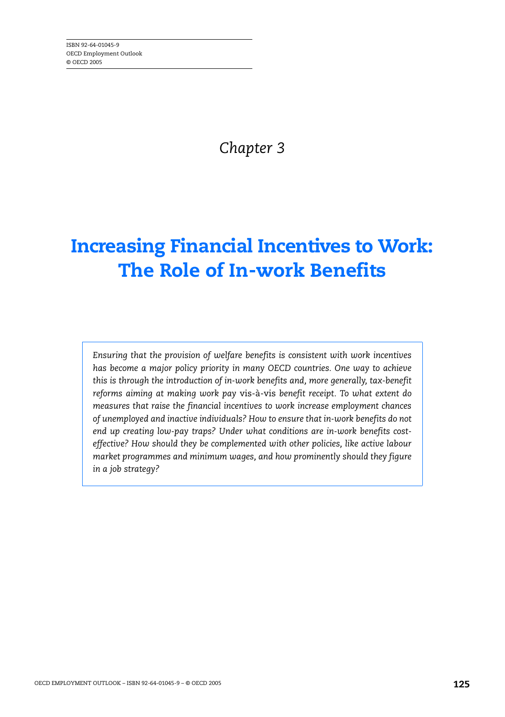*Chapter 3* 

# **Increasing Financial Incentives to Work: The Role of In-work Benefits**

*Ensuring that the provision of welfare benefits is consistent with work incentives has become a major policy priority in many OECD countries. One way to achieve this is through the introduction of in-work benefits and, more generally, tax-benefit reforms aiming at making work pay* vis-à-vis *benefit receipt. To what extent do measures that raise the financial incentives to work increase employment chances of unemployed and inactive individuals? How to ensure that in-work benefits do not end up creating low-pay traps? Under what conditions are in-work benefits costeffective? How should they be complemented with other policies, like active labour market programmes and minimum wages, and how prominently should they figure in a job strategy?*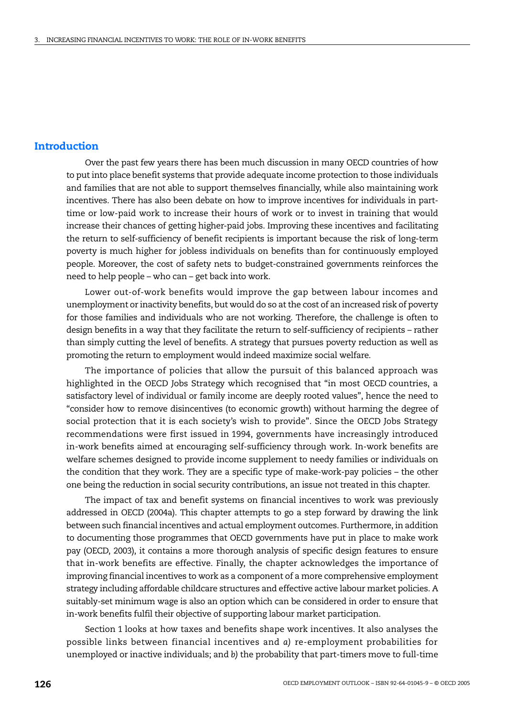## **Introduction**

Over the past few years there has been much discussion in many OECD countries of how to put into place benefit systems that provide adequate income protection to those individuals and families that are not able to support themselves financially, while also maintaining work incentives. There has also been debate on how to improve incentives for individuals in parttime or low-paid work to increase their hours of work or to invest in training that would increase their chances of getting higher-paid jobs. Improving these incentives and facilitating the return to self-sufficiency of benefit recipients is important because the risk of long-term poverty is much higher for jobless individuals on benefits than for continuously employed people. Moreover, the cost of safety nets to budget-constrained governments reinforces the need to help people – who can – get back into work.

Lower out-of-work benefits would improve the gap between labour incomes and unemployment or inactivity benefits, but would do so at the cost of an increased risk of poverty for those families and individuals who are not working. Therefore, the challenge is often to design benefits in a way that they facilitate the return to self-sufficiency of recipients – rather than simply cutting the level of benefits. A strategy that pursues poverty reduction as well as promoting the return to employment would indeed maximize social welfare.

The importance of policies that allow the pursuit of this balanced approach was highlighted in the OECD Jobs Strategy which recognised that "in most OECD countries, a satisfactory level of individual or family income are deeply rooted values", hence the need to "consider how to remove disincentives (to economic growth) without harming the degree of social protection that it is each society's wish to provide". Since the OECD Jobs Strategy recommendations were first issued in 1994, governments have increasingly introduced in-work benefits aimed at encouraging self-sufficiency through work. In-work benefits are welfare schemes designed to provide income supplement to needy families or individuals on the condition that they work. They are a specific type of make-work-pay policies – the other one being the reduction in social security contributions, an issue not treated in this chapter.

The impact of tax and benefit systems on financial incentives to work was previously addressed in OECD (2004a). This chapter attempts to go a step forward by drawing the link between such financial incentives and actual employment outcomes. Furthermore, in addition to documenting those programmes that OECD governments have put in place to make work pay (OECD, 2003), it contains a more thorough analysis of specific design features to ensure that in-work benefits are effective. Finally, the chapter acknowledges the importance of improving financial incentives to work as a component of a more comprehensive employment strategy including affordable childcare structures and effective active labour market policies. A suitably-set minimum wage is also an option which can be considered in order to ensure that in-work benefits fulfil their objective of supporting labour market participation.

Section 1 looks at how taxes and benefits shape work incentives. It also analyses the possible links between financial incentives and *a)* re-employment probabilities for unemployed or inactive individuals; and *b)* the probability that part-timers move to full-time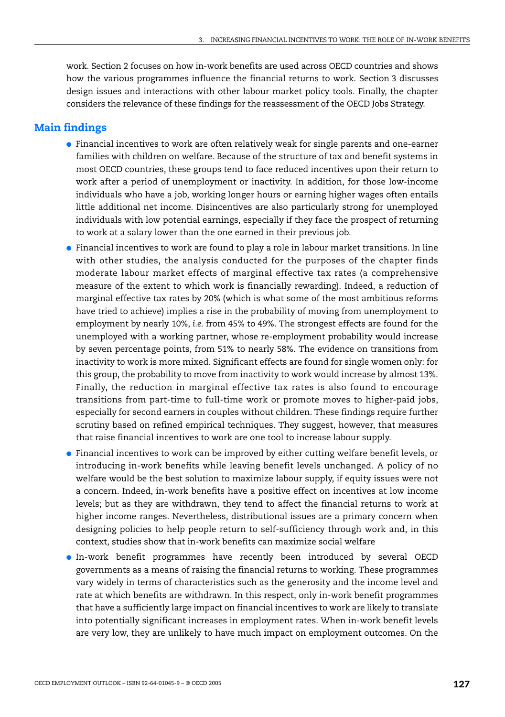work. Section 2 focuses on how in-work benefits are used across OECD countries and shows how the various programmes influence the financial returns to work. Section 3 discusses design issues and interactions with other labour market policy tools. Finally, the chapter considers the relevance of these findings for the reassessment of the OECD Jobs Strategy.

## **Main findings**

- Financial incentives to work are often relatively weak for single parents and one-earner families with children on welfare. Because of the structure of tax and benefit systems in most OECD countries, these groups tend to face reduced incentives upon their return to work after a period of unemployment or inactivity. In addition, for those low-income individuals who have a job, working longer hours or earning higher wages often entails little additional net income. Disincentives are also particularly strong for unemployed individuals with low potential earnings, especially if they face the prospect of returning to work at a salary lower than the one earned in their previous job.
- Financial incentives to work are found to play a role in labour market transitions. In line with other studies, the analysis conducted for the purposes of the chapter finds moderate labour market effects of marginal effective tax rates (a comprehensive measure of the extent to which work is financially rewarding). Indeed, a reduction of marginal effective tax rates by 20% (which is what some of the most ambitious reforms have tried to achieve) implies a rise in the probability of moving from unemployment to employment by nearly 10%, *i.e.* from 45% to 49%. The strongest effects are found for the unemployed with a working partner, whose re-employment probability would increase by seven percentage points, from 51% to nearly 58%. The evidence on transitions from inactivity to work is more mixed. Significant effects are found for single women only: for this group, the probability to move from inactivity to work would increase by almost 13%. Finally, the reduction in marginal effective tax rates is also found to encourage transitions from part-time to full-time work or promote moves to higher-paid jobs, especially for second earners in couples without children. These findings require further scrutiny based on refined empirical techniques. They suggest, however, that measures that raise financial incentives to work are one tool to increase labour supply.
- Financial incentives to work can be improved by either cutting welfare benefit levels, or introducing in-work benefits while leaving benefit levels unchanged. A policy of no welfare would be the best solution to maximize labour supply, if equity issues were not a concern. Indeed, in-work benefits have a positive effect on incentives at low income levels; but as they are withdrawn, they tend to affect the financial returns to work at higher income ranges. Nevertheless, distributional issues are a primary concern when designing policies to help people return to self-sufficiency through work and, in this context, studies show that in-work benefits can maximize social welfare
- In-work benefit programmes have recently been introduced by several OECD governments as a means of raising the financial returns to working. These programmes vary widely in terms of characteristics such as the generosity and the income level and rate at which benefits are withdrawn. In this respect, only in-work benefit programmes that have a sufficiently large impact on financial incentives to work are likely to translate into potentially significant increases in employment rates. When in-work benefit levels are very low, they are unlikely to have much impact on employment outcomes. On the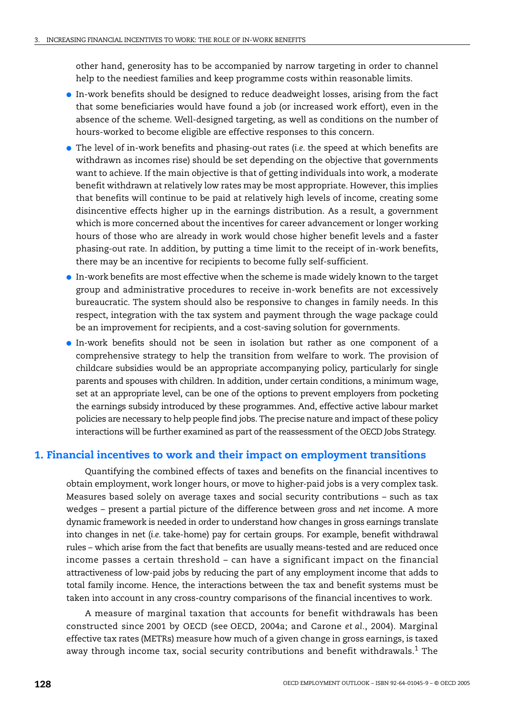other hand, generosity has to be accompanied by narrow targeting in order to channel help to the neediest families and keep programme costs within reasonable limits.

- In-work benefits should be designed to reduce deadweight losses, arising from the fact that some beneficiaries would have found a job (or increased work effort), even in the absence of the scheme. Well-designed targeting, as well as conditions on the number of hours-worked to become eligible are effective responses to this concern.
- The level of in-work benefits and phasing-out rates (*i.e.* the speed at which benefits are withdrawn as incomes rise) should be set depending on the objective that governments want to achieve. If the main objective is that of getting individuals into work, a moderate benefit withdrawn at relatively low rates may be most appropriate. However, this implies that benefits will continue to be paid at relatively high levels of income, creating some disincentive effects higher up in the earnings distribution. As a result, a government which is more concerned about the incentives for career advancement or longer working hours of those who are already in work would chose higher benefit levels and a faster phasing-out rate. In addition, by putting a time limit to the receipt of in-work benefits, there may be an incentive for recipients to become fully self-sufficient.
- In-work benefits are most effective when the scheme is made widely known to the target group and administrative procedures to receive in-work benefits are not excessively bureaucratic. The system should also be responsive to changes in family needs. In this respect, integration with the tax system and payment through the wage package could be an improvement for recipients, and a cost-saving solution for governments.
- In-work benefits should not be seen in isolation but rather as one component of a comprehensive strategy to help the transition from welfare to work. The provision of childcare subsidies would be an appropriate accompanying policy, particularly for single parents and spouses with children. In addition, under certain conditions, a minimum wage, set at an appropriate level, can be one of the options to prevent employers from pocketing the earnings subsidy introduced by these programmes. And, effective active labour market policies are necessary to help people find jobs. The precise nature and impact of these policy interactions will be further examined as part of the reassessment of the OECD Jobs Strategy.

## **1. Financial incentives to work and their impact on employment transitions**

Quantifying the combined effects of taxes and benefits on the financial incentives to obtain employment, work longer hours, or move to higher-paid jobs is a very complex task. Measures based solely on average taxes and social security contributions – such as tax wedges – present a partial picture of the difference between *gross* and *net* income. A more dynamic framework is needed in order to understand how changes in gross earnings translate into changes in net (*i.e.* take-home) pay for certain groups. For example, benefit withdrawal rules – which arise from the fact that benefits are usually means-tested and are reduced once income passes a certain threshold – can have a significant impact on the financial attractiveness of low-paid jobs by reducing the part of any employment income that adds to total family income. Hence, the interactions between the tax and benefit systems must be taken into account in any cross-country comparisons of the financial incentives to work.

A measure of marginal taxation that accounts for benefit withdrawals has been constructed since 2001 by OECD (see OECD, 2004a; and Carone *et al.*, 2004). Marginal effective tax rates (METRs) measure how much of a given change in gross earnings, is taxed away through income tax, social security contributions and benefit withdrawals.<sup>1</sup> The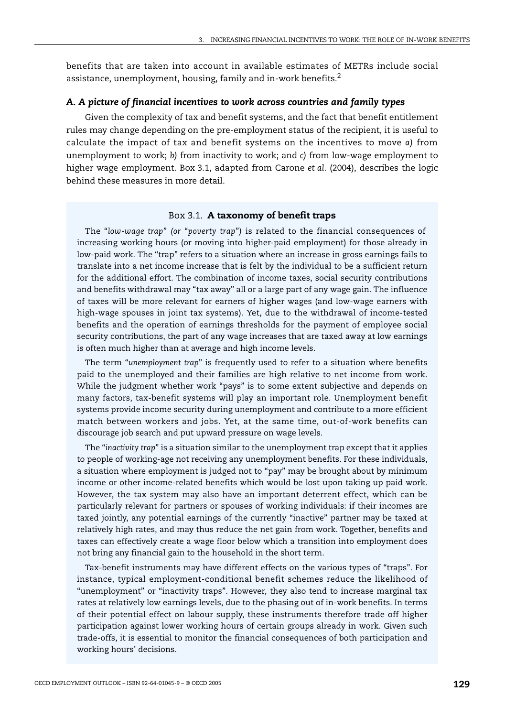benefits that are taken into account in available estimates of METRs include social assistance, unemployment, housing, family and in-work benefits.<sup>2</sup>

## *A. A picture of financial incentives to work across countries and family types*

Given the complexity of tax and benefit systems, and the fact that benefit entitlement rules may change depending on the pre-employment status of the recipient, it is useful to calculate the impact of tax and benefit systems on the incentives to move *a)* from unemployment to work; *b)* from inactivity to work; and *c)* from low-wage employment to higher wage employment. Box 3.1, adapted from Carone *et al.* (2004), describes the logic behind these measures in more detail.

## Box 3.1. **A taxonomy of benefit traps**

The "*low-wage trap*" *(or* "*poverty trap*"*)* is related to the financial consequences of increasing working hours (or moving into higher-paid employment) for those already in low-paid work. The "trap" refers to a situation where an increase in gross earnings fails to translate into a net income increase that is felt by the individual to be a sufficient return for the additional effort. The combination of income taxes, social security contributions and benefits withdrawal may "tax away" all or a large part of any wage gain. The influence of taxes will be more relevant for earners of higher wages (and low-wage earners with high-wage spouses in joint tax systems). Yet, due to the withdrawal of income-tested benefits and the operation of earnings thresholds for the payment of employee social security contributions, the part of any wage increases that are taxed away at low earnings is often much higher than at average and high income levels.

The term "*unemployment trap*" is frequently used to refer to a situation where benefits paid to the unemployed and their families are high relative to net income from work. While the judgment whether work "pays" is to some extent subjective and depends on many factors, tax-benefit systems will play an important role. Unemployment benefit systems provide income security during unemployment and contribute to a more efficient match between workers and jobs. Yet, at the same time, out-of-work benefits can discourage job search and put upward pressure on wage levels.

The "*inactivity trap*" is a situation similar to the unemployment trap except that it applies to people of working-age not receiving any unemployment benefits. For these individuals, a situation where employment is judged not to "pay" may be brought about by minimum income or other income-related benefits which would be lost upon taking up paid work. However, the tax system may also have an important deterrent effect, which can be particularly relevant for partners or spouses of working individuals: if their incomes are taxed jointly, any potential earnings of the currently "inactive" partner may be taxed at relatively high rates, and may thus reduce the net gain from work. Together, benefits and taxes can effectively create a wage floor below which a transition into employment does not bring any financial gain to the household in the short term.

Tax-benefit instruments may have different effects on the various types of "traps". For instance, typical employment-conditional benefit schemes reduce the likelihood of "unemployment" or "inactivity traps". However, they also tend to increase marginal tax rates at relatively low earnings levels, due to the phasing out of in-work benefits. In terms of their potential effect on labour supply, these instruments therefore trade off higher participation against lower working hours of certain groups already in work. Given such trade-offs, it is essential to monitor the financial consequences of both participation and working hours' decisions.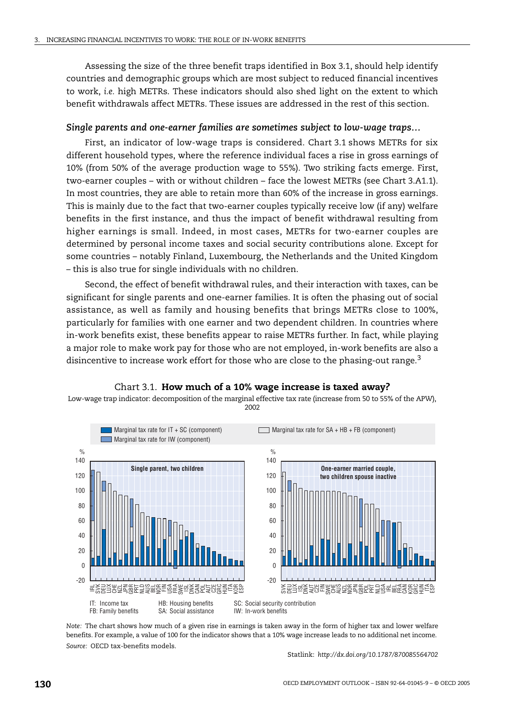Assessing the size of the three benefit traps identified in Box 3.1, should help identify countries and demographic groups which are most subject to reduced financial incentives to work, *i.e.* high METRs. These indicators should also shed light on the extent to which benefit withdrawals affect METRs. These issues are addressed in the rest of this section.

## *Single parents and one-earner families are sometimes subject to low-wage traps…*

First, an indicator of low-wage traps is considered. Chart 3.1 shows METRs for six different household types, where the reference individual faces a rise in gross earnings of 10% (from 50% of the average production wage to 55%). Two striking facts emerge. First, two-earner couples – with or without children – face the lowest METRs (see Chart 3.A1.1). In most countries, they are able to retain more than 60% of the increase in gross earnings. This is mainly due to the fact that two-earner couples typically receive low (if any) welfare benefits in the first instance, and thus the impact of benefit withdrawal resulting from higher earnings is small. Indeed, in most cases, METRs for two-earner couples are determined by personal income taxes and social security contributions alone. Except for some countries – notably Finland, Luxembourg, the Netherlands and the United Kingdom – this is also true for single individuals with no children.

Second, the effect of benefit withdrawal rules, and their interaction with taxes, can be significant for single parents and one-earner families. It is often the phasing out of social assistance, as well as family and housing benefits that brings METRs close to 100%, particularly for families with one earner and two dependent children. In countries where in-work benefits exist, these benefits appear to raise METRs further. In fact, while playing a major role to make work pay for those who are not employed, in-work benefits are also a disincentive to increase work effort for those who are close to the phasing-out range. $3$ 



Chart 3.1. **How much of a 10% wage increase is taxed away?**

Low-wage trap indicator: decomposition of the marginal effective tax rate (increase from 50 to 55% of the APW), 2002

*Note:* The chart shows how much of a given rise in earnings is taken away in the form of higher tax and lower welfare benefits. For example, a value of 100 for the indicator shows that a 10% wage increase leads to no additional net income. *Source:* OECD tax-benefits models.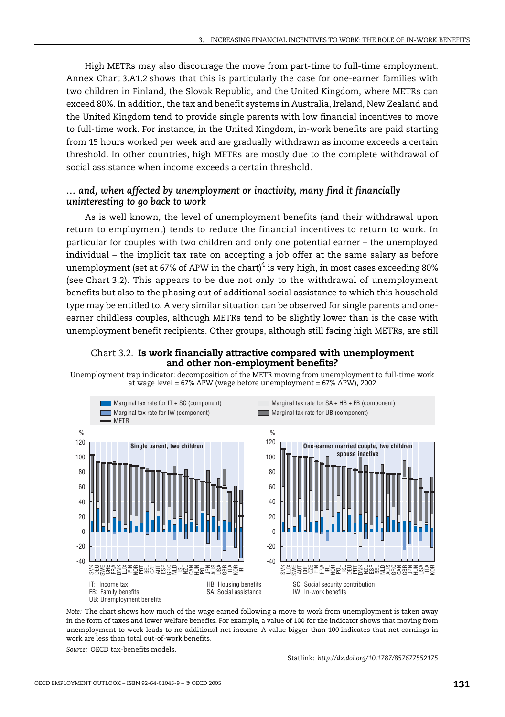High METRs may also discourage the move from part-time to full-time employment. Annex Chart 3.A1.2 shows that this is particularly the case for one-earner families with two children in Finland, the Slovak Republic, and the United Kingdom, where METRs can exceed 80%. In addition, the tax and benefit systems in Australia, Ireland, New Zealand and the United Kingdom tend to provide single parents with low financial incentives to move to full-time work. For instance, in the United Kingdom, in-work benefits are paid starting from 15 hours worked per week and are gradually withdrawn as income exceeds a certain threshold. In other countries, high METRs are mostly due to the complete withdrawal of social assistance when income exceeds a certain threshold.

## *… and, when affected by unemployment or inactivity, many find it financially uninteresting to go back to work*

As is well known, the level of unemployment benefits (and their withdrawal upon return to employment) tends to reduce the financial incentives to return to work. In particular for couples with two children and only one potential earner – the unemployed individual – the implicit tax rate on accepting a job offer at the same salary as before unemployment (set at 67% of APW in the chart) $4$  is very high, in most cases exceeding 80% (see Chart 3.2). This appears to be due not only to the withdrawal of unemployment benefits but also to the phasing out of additional social assistance to which this household type may be entitled to. A very similar situation can be observed for single parents and oneearner childless couples, although METRs tend to be slightly lower than is the case with unemployment benefit recipients. Other groups, although still facing high METRs, are still

## Chart 3.2. **Is work financially attractive compared with unemployment and other non-employment benefits?**



Unemployment trap indicator: decomposition of the METR moving from unemployment to full-time work at wage level = 67% APW (wage before unemployment = 67% APW), 2002

*Note:* The chart shows how much of the wage earned following a move to work from unemployment is taken away in the form of taxes and lower welfare benefits. For example, a value of 100 for the indicator shows that moving from unemployment to work leads to no additional net income. A value bigger than 100 indicates that net earnings in work are less than total out-of-work benefits.

*Source:* OECD tax-benefits models.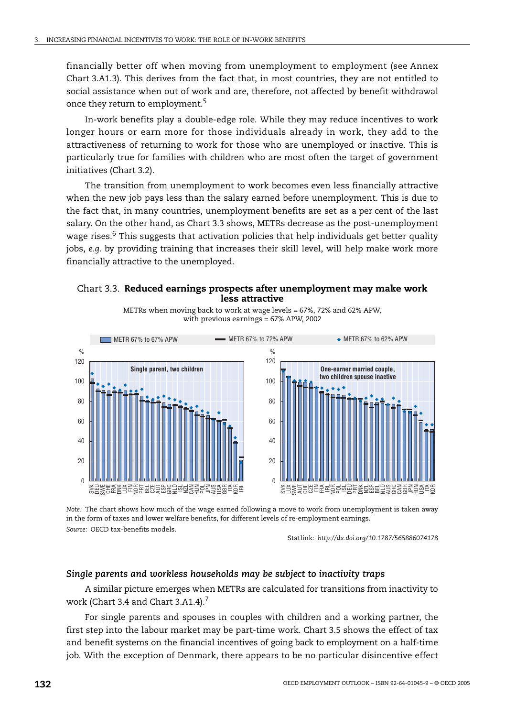financially better off when moving from unemployment to employment (see Annex Chart 3.A1.3). This derives from the fact that, in most countries, they are not entitled to social assistance when out of work and are, therefore, not affected by benefit withdrawal once they return to employment.<sup>5</sup>

In-work benefits play a double-edge role. While they may reduce incentives to work longer hours or earn more for those individuals already in work, they add to the attractiveness of returning to work for those who are unemployed or inactive. This is particularly true for families with children who are most often the target of government initiatives (Chart 3.2).

The transition from unemployment to work becomes even less financially attractive when the new job pays less than the salary earned before unemployment. This is due to the fact that, in many countries, unemployment benefits are set as a per cent of the last salary. On the other hand, as Chart 3.3 shows, METRs decrease as the post-unemployment wage rises.<sup>6</sup> This suggests that activation policies that help individuals get better quality jobs, *e.g.* by providing training that increases their skill level, will help make work more financially attractive to the unemployed.





METRs when moving back to work at wage levels = 67%, 72% and 62% APW, with previous earnings = 67% APW, 2002

*Note:* The chart shows how much of the wage earned following a move to work from unemployment is taken away in the form of taxes and lower welfare benefits, for different levels of re-employment earnings. *Source:* OECD tax-benefits models.

Statlink: *http://dx.doi.org/10.1787/565886074178*

## *Single parents and workless households may be subject to inactivity traps*

A similar picture emerges when METRs are calculated for transitions from inactivity to work (Chart 3.4 and Chart 3.A1.4).<sup>7</sup>

For single parents and spouses in couples with children and a working partner, the first step into the labour market may be part-time work. Chart 3.5 shows the effect of tax and benefit systems on the financial incentives of going back to employment on a half-time job. With the exception of Denmark, there appears to be no particular disincentive effect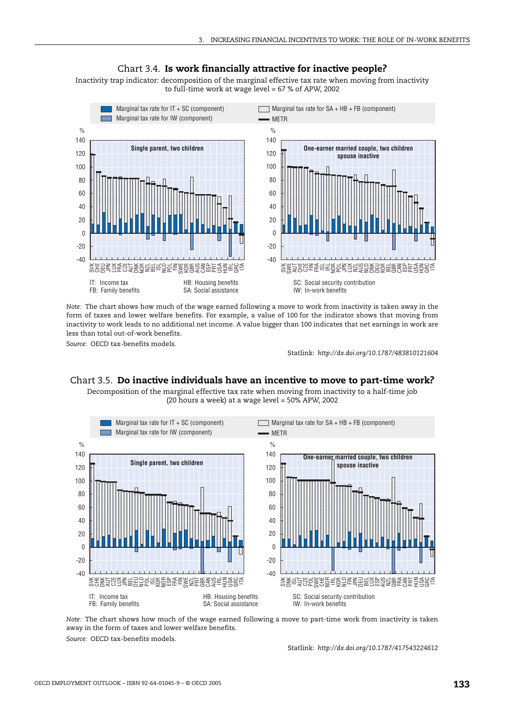



*Note:* The chart shows how much of the wage earned following a move to work from inactivity is taken away in the form of taxes and lower welfare benefits. For example, a value of 100 for the indicator shows that moving from inactivity to work leads to no additional net income. A value bigger than 100 indicates that net earnings in work are less than total out-of-work benefits.

*Source:* OECD tax-benefits models.

Statlink: *http://dx.doi.org/10.1787/483810121604*

## Chart 3.5. **Do inactive individuals have an incentive to move to part-time work?**

Decomposition of the marginal effective tax rate when moving from inactivity to a half-time job (20 hours a week) at a wage level = 50% APW, 2002



*Note:* The chart shows how much of the wage earned following a move to part-time work from inactivity is taken away in the form of taxes and lower welfare benefits. *Source:* OECD tax-benefits models.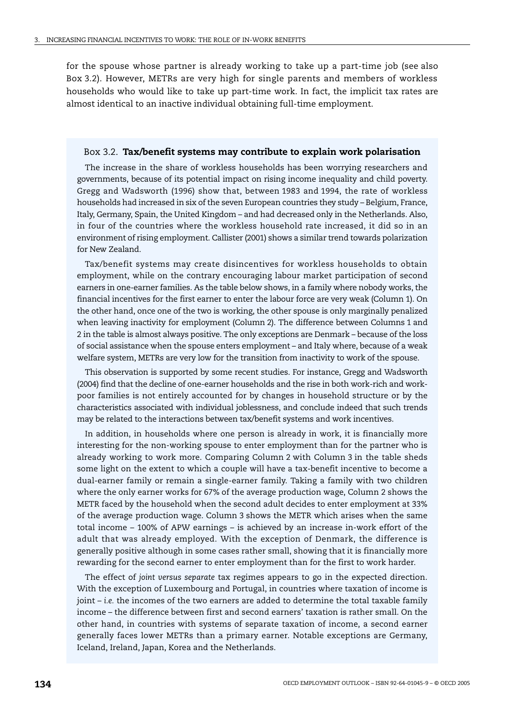for the spouse whose partner is already working to take up a part-time job (see also Box 3.2). However, METRs are very high for single parents and members of workless households who would like to take up part-time work. In fact, the implicit tax rates are almost identical to an inactive individual obtaining full-time employment.

#### Box 3.2. **Tax/benefit systems may contribute to explain work polarisation**

The increase in the share of workless households has been worrying researchers and governments, because of its potential impact on rising income inequality and child poverty. Gregg and Wadsworth (1996) show that, between 1983 and 1994, the rate of workless households had increased in six of the seven European countries they study – Belgium, France, Italy, Germany, Spain, the United Kingdom – and had decreased only in the Netherlands. Also, in four of the countries where the workless household rate increased, it did so in an environment of rising employment. Callister (2001) shows a similar trend towards polarization for New Zealand.

Tax/benefit systems may create disincentives for workless households to obtain employment, while on the contrary encouraging labour market participation of second earners in one-earner families. As the table below shows, in a family where nobody works, the financial incentives for the first earner to enter the labour force are very weak (Column 1). On the other hand, once one of the two is working, the other spouse is only marginally penalized when leaving inactivity for employment (Column 2). The difference between Columns 1 and 2 in the table is almost always positive. The only exceptions are Denmark – because of the loss of social assistance when the spouse enters employment – and Italy where, because of a weak welfare system, METRs are very low for the transition from inactivity to work of the spouse.

This observation is supported by some recent studies. For instance, Gregg and Wadsworth (2004) find that the decline of one-earner households and the rise in both work-rich and workpoor families is not entirely accounted for by changes in household structure or by the characteristics associated with individual joblessness, and conclude indeed that such trends may be related to the interactions between tax/benefit systems and work incentives.

In addition, in households where one person is already in work, it is financially more interesting for the non-working spouse to enter employment than for the partner who is already working to work more. Comparing Column 2 with Column 3 in the table sheds some light on the extent to which a couple will have a tax-benefit incentive to become a dual-earner family or remain a single-earner family. Taking a family with two children where the only earner works for 67% of the average production wage, Column 2 shows the METR faced by the household when the second adult decides to enter employment at 33% of the average production wage. Column 3 shows the METR which arises when the same total income – 100% of APW earnings – is achieved by an increase in-work effort of the adult that was already employed. With the exception of Denmark, the difference is generally positive although in some cases rather small, showing that it is financially more rewarding for the second earner to enter employment than for the first to work harder.

The effect of *joint versus separate* tax regimes appears to go in the expected direction. With the exception of Luxembourg and Portugal, in countries where taxation of income is joint – *i.e.* the incomes of the two earners are added to determine the total taxable family income – the difference between first and second earners' taxation is rather small. On the other hand, in countries with systems of separate taxation of income, a second earner generally faces lower METRs than a primary earner. Notable exceptions are Germany, Iceland, Ireland, Japan, Korea and the Netherlands.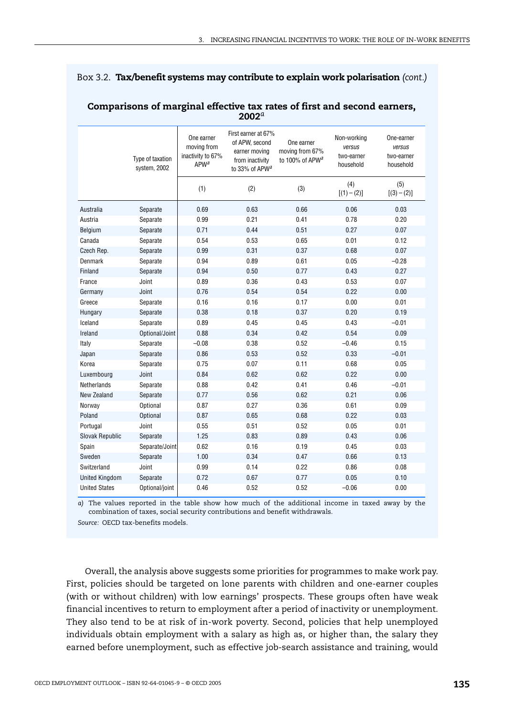## Box 3.2. **Tax/benefit systems may contribute to explain work polarisation** *(cont.)*

|                       | Type of taxation<br>system, 2002 | One earner<br>moving from<br>inactivity to 67%<br>APW <sup>a</sup> | First earner at 67%<br>of APW, second<br>earner moving<br>from inactivity<br>to 33% of APW <sup>a</sup> | One earner<br>moving from 67%<br>to 100% of APW <sup>a</sup> | Non-working<br>versus<br>two-earner<br>household | One-earner<br>versus<br>two-earner<br>household |
|-----------------------|----------------------------------|--------------------------------------------------------------------|---------------------------------------------------------------------------------------------------------|--------------------------------------------------------------|--------------------------------------------------|-------------------------------------------------|
|                       |                                  | (1)                                                                | (2)                                                                                                     | (3)                                                          | (4)<br>$[(1) - (2)]$                             | (5)<br>$[(3)-(2)]$                              |
| Australia             | Separate                         | 0.69                                                               | 0.63                                                                                                    | 0.66                                                         | 0.06                                             | 0.03                                            |
| Austria               | Separate                         | 0.99                                                               | 0.21                                                                                                    | 0.41                                                         | 0.78                                             | 0.20                                            |
| Belgium               | Separate                         | 0.71                                                               | 0.44                                                                                                    | 0.51                                                         | 0.27                                             | 0.07                                            |
| Canada                | Separate                         | 0.54                                                               | 0.53                                                                                                    | 0.65                                                         | 0.01                                             | 0.12                                            |
| Czech Rep.            | Separate                         | 0.99                                                               | 0.31                                                                                                    | 0.37                                                         | 0.68                                             | 0.07                                            |
| <b>Denmark</b>        | Separate                         | 0.94                                                               | 0.89                                                                                                    | 0.61                                                         | 0.05                                             | $-0.28$                                         |
| Finland               | Separate                         | 0.94                                                               | 0.50                                                                                                    | 0.77                                                         | 0.43                                             | 0.27                                            |
| France                | Joint                            | 0.89                                                               | 0.36                                                                                                    | 0.43                                                         | 0.53                                             | 0.07                                            |
| Germany               | Joint                            | 0.76                                                               | 0.54                                                                                                    | 0.54                                                         | 0.22                                             | 0.00                                            |
| Greece                | Separate                         | 0.16                                                               | 0.16                                                                                                    | 0.17                                                         | 0.00                                             | 0.01                                            |
| Hungary               | Separate                         | 0.38                                                               | 0.18                                                                                                    | 0.37                                                         | 0.20                                             | 0.19                                            |
| Iceland               | Separate                         | 0.89                                                               | 0.45                                                                                                    | 0.45                                                         | 0.43                                             | $-0.01$                                         |
| Ireland               | Optional/Joint                   | 0.88                                                               | 0.34                                                                                                    | 0.42                                                         | 0.54                                             | 0.09                                            |
| Italy                 | Separate                         | $-0.08$                                                            | 0.38                                                                                                    | 0.52                                                         | $-0.46$                                          | 0.15                                            |
| Japan                 | Separate                         | 0.86                                                               | 0.53                                                                                                    | 0.52                                                         | 0.33                                             | $-0.01$                                         |
| Korea                 | Separate                         | 0.75                                                               | 0.07                                                                                                    | 0.11                                                         | 0.68                                             | 0.05                                            |
| Luxembourg            | Joint                            | 0.84                                                               | 0.62                                                                                                    | 0.62                                                         | 0.22                                             | 0.00                                            |
| Netherlands           | Separate                         | 0.88                                                               | 0.42                                                                                                    | 0.41                                                         | 0.46                                             | $-0.01$                                         |
| New Zealand           | Separate                         | 0.77                                                               | 0.56                                                                                                    | 0.62                                                         | 0.21                                             | 0.06                                            |
| Norway                | Optional                         | 0.87                                                               | 0.27                                                                                                    | 0.36                                                         | 0.61                                             | 0.09                                            |
| Poland                | Optional                         | 0.87                                                               | 0.65                                                                                                    | 0.68                                                         | 0.22                                             | 0.03                                            |
| Portugal              | Joint                            | 0.55                                                               | 0.51                                                                                                    | 0.52                                                         | 0.05                                             | 0.01                                            |
| Slovak Republic       | Separate                         | 1.25                                                               | 0.83                                                                                                    | 0.89                                                         | 0.43                                             | 0.06                                            |
| Spain                 | Separate/Joint                   | 0.62                                                               | 0.16                                                                                                    | 0.19                                                         | 0.45                                             | 0.03                                            |
| Sweden                | Separate                         | 1.00                                                               | 0.34                                                                                                    | 0.47                                                         | 0.66                                             | 0.13                                            |
| Switzerland           | Joint                            | 0.99                                                               | 0.14                                                                                                    | 0.22                                                         | 0.86                                             | 0.08                                            |
| <b>United Kingdom</b> | Separate                         | 0.72                                                               | 0.67                                                                                                    | 0.77                                                         | 0.05                                             | 0.10                                            |
| <b>United States</b>  | Optional/joint                   | 0.46                                                               | 0.52                                                                                                    | 0.52                                                         | $-0.06$                                          | 0.00                                            |

## **Comparisons of marginal effective tax rates of first and second earners, 2002***<sup>a</sup>*

*a)* The values reported in the table show how much of the additional income in taxed away by the combination of taxes, social security contributions and benefit withdrawals.

*Source:* OECD tax-benefits models.

Overall, the analysis above suggests some priorities for programmes to make work pay. First, policies should be targeted on lone parents with children and one-earner couples (with or without children) with low earnings' prospects. These groups often have weak financial incentives to return to employment after a period of inactivity or unemployment. They also tend to be at risk of in-work poverty. Second, policies that help unemployed individuals obtain employment with a salary as high as, or higher than, the salary they earned before unemployment, such as effective job-search assistance and training, would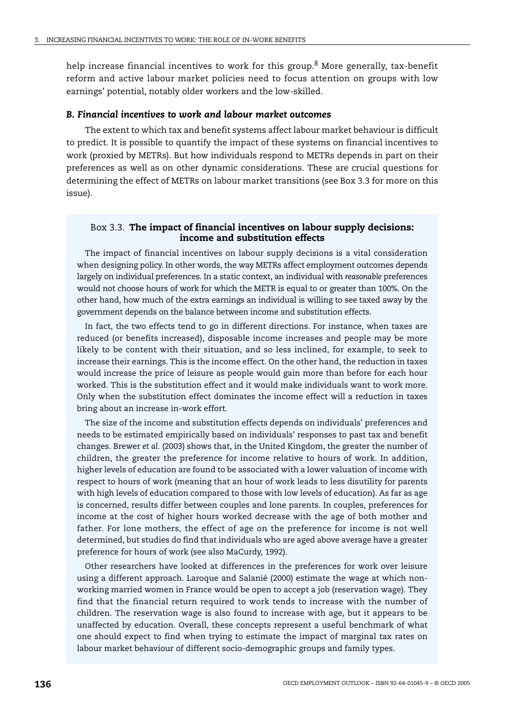help increase financial incentives to work for this group.<sup>8</sup> More generally, tax-benefit reform and active labour market policies need to focus attention on groups with low earnings' potential, notably older workers and the low-skilled.

## *B. Financial incentives to work and labour market outcomes*

The extent to which tax and benefit systems affect labour market behaviour is difficult to predict. It is possible to quantify the impact of these systems on financial incentives to work (proxied by METRs). But how individuals respond to METRs depends in part on their preferences as well as on other dynamic considerations. These are crucial questions for determining the effect of METRs on labour market transitions (see Box 3.3 for more on this issue).

## Box 3.3. **The impact of financial incentives on labour supply decisions: income and substitution effects**

The impact of financial incentives on labour supply decisions is a vital consideration when designing policy. In other words, the way METRs affect employment outcomes depends largely on individual preferences. In a static context, an individual with *reasonable* preferences would not choose hours of work for which the METR is equal to or greater than 100%. On the other hand, how much of the extra earnings an individual is willing to see taxed away by the government depends on the balance between income and substitution effects.

In fact, the two effects tend to go in different directions. For instance, when taxes are reduced (or benefits increased), disposable income increases and people may be more likely to be content with their situation, and so less inclined, for example, to seek to increase their earnings. This is the income effect. On the other hand, the reduction in taxes would increase the price of leisure as people would gain more than before for each hour worked. This is the substitution effect and it would make individuals want to work more. Only when the substitution effect dominates the income effect will a reduction in taxes bring about an increase in-work effort.

The size of the income and substitution effects depends on individuals' preferences and needs to be estimated empirically based on individuals' responses to past tax and benefit changes. Brewer *et al.* (2003) shows that, in the United Kingdom, the greater the number of children, the greater the preference for income relative to hours of work. In addition, higher levels of education are found to be associated with a lower valuation of income with respect to hours of work (meaning that an hour of work leads to less disutility for parents with high levels of education compared to those with low levels of education). As far as age is concerned, results differ between couples and lone parents. In couples, preferences for income at the cost of higher hours worked decrease with the age of both mother and father. For lone mothers, the effect of age on the preference for income is not well determined, but studies do find that individuals who are aged above average have a greater preference for hours of work (see also MaCurdy, 1992).

Other researchers have looked at differences in the preferences for work over leisure using a different approach. Laroque and Salanié (2000) estimate the wage at which nonworking married women in France would be open to accept a job (reservation wage). They find that the financial return required to work tends to increase with the number of children. The reservation wage is also found to increase with age, but it appears to be unaffected by education. Overall, these concepts represent a useful benchmark of what one should expect to find when trying to estimate the impact of marginal tax rates on labour market behaviour of different socio-demographic groups and family types.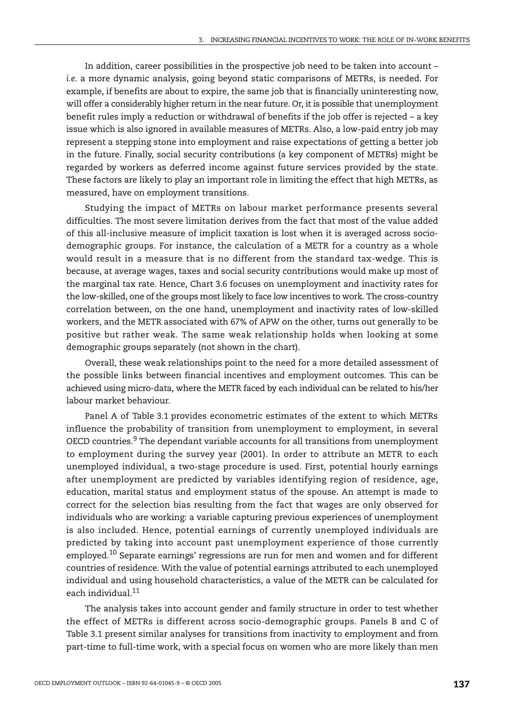In addition, career possibilities in the prospective job need to be taken into account – *i.e.* a more dynamic analysis, going beyond static comparisons of METRs, is needed. For example, if benefits are about to expire, the same job that is financially uninteresting now, will offer a considerably higher return in the near future. Or, it is possible that unemployment benefit rules imply a reduction or withdrawal of benefits if the job offer is rejected – a key issue which is also ignored in available measures of METRs. Also, a low-paid entry job may represent a stepping stone into employment and raise expectations of getting a better job in the future. Finally, social security contributions (a key component of METRs) might be regarded by workers as deferred income against future services provided by the state. These factors are likely to play an important role in limiting the effect that high METRs, as measured, have on employment transitions.

Studying the impact of METRs on labour market performance presents several difficulties. The most severe limitation derives from the fact that most of the value added of this all-inclusive measure of implicit taxation is lost when it is averaged across sociodemographic groups. For instance, the calculation of a METR for a country as a whole would result in a measure that is no different from the standard tax-wedge. This is because, at average wages, taxes and social security contributions would make up most of the marginal tax rate. Hence, Chart 3.6 focuses on unemployment and inactivity rates for the low-skilled, one of the groups most likely to face low incentives to work. The cross-country correlation between, on the one hand, unemployment and inactivity rates of low-skilled workers, and the METR associated with 67% of APW on the other, turns out generally to be positive but rather weak. The same weak relationship holds when looking at some demographic groups separately (not shown in the chart).

Overall, these weak relationships point to the need for a more detailed assessment of the possible links between financial incentives and employment outcomes. This can be achieved using micro-data, where the METR faced by each individual can be related to his/her labour market behaviour.

Panel A of Table 3.1 provides econometric estimates of the extent to which METRs influence the probability of transition from unemployment to employment, in several OECD countries.9 The dependant variable accounts for all transitions from unemployment to employment during the survey year (2001). In order to attribute an METR to each unemployed individual, a two-stage procedure is used. First, potential hourly earnings after unemployment are predicted by variables identifying region of residence, age, education, marital status and employment status of the spouse. An attempt is made to correct for the selection bias resulting from the fact that wages are only observed for individuals who are working: a variable capturing previous experiences of unemployment is also included. Hence, potential earnings of currently unemployed individuals are predicted by taking into account past unemployment experience of those currently employed.10 Separate earnings' regressions are run for men and women and for different countries of residence. With the value of potential earnings attributed to each unemployed individual and using household characteristics, a value of the METR can be calculated for each individual.<sup>11</sup>

The analysis takes into account gender and family structure in order to test whether the effect of METRs is different across socio-demographic groups. Panels B and C of Table 3.1 present similar analyses for transitions from inactivity to employment and from part-time to full-time work, with a special focus on women who are more likely than men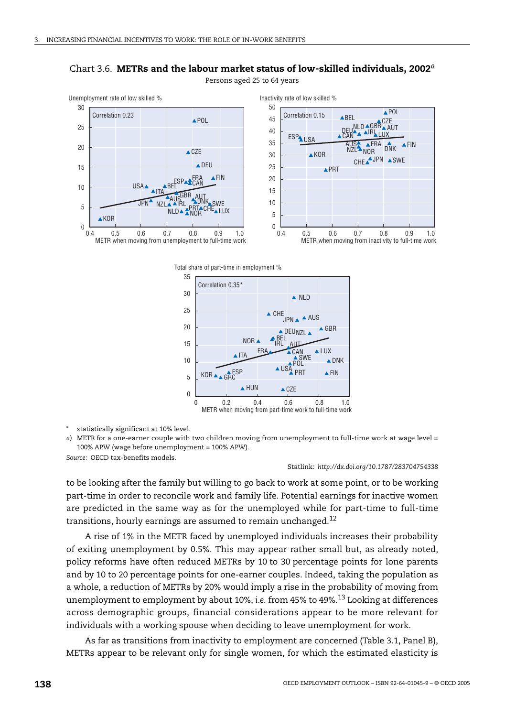

Chart 3.6. **METRs and the labour market status of low-skilled individuals, 2002***<sup>a</sup>* Persons aged 25 to 64 years



statistically significant at 10% level.

*a)* METR for a one-earner couple with two children moving from unemployment to full-time work at wage level = 100% APW (wage before unemployment = 100% APW).

*Source:* OECD tax-benefits models.

#### Statlink: *http://dx.doi.org/10.1787/283704754338*

to be looking after the family but willing to go back to work at some point, or to be working part-time in order to reconcile work and family life. Potential earnings for inactive women are predicted in the same way as for the unemployed while for part-time to full-time transitions, hourly earnings are assumed to remain unchanged.<sup>12</sup>

A rise of 1% in the METR faced by unemployed individuals increases their probability of exiting unemployment by 0.5%. This may appear rather small but, as already noted, policy reforms have often reduced METRs by 10 to 30 percentage points for lone parents and by 10 to 20 percentage points for one-earner couples. Indeed, taking the population as a whole, a reduction of METRs by 20% would imply a rise in the probability of moving from unemployment to employment by about 10%, *i.e.* from 45% to 49%.13 Looking at differences across demographic groups, financial considerations appear to be more relevant for individuals with a working spouse when deciding to leave unemployment for work.

As far as transitions from inactivity to employment are concerned (Table 3.1, Panel B), METRs appear to be relevant only for single women, for which the estimated elasticity is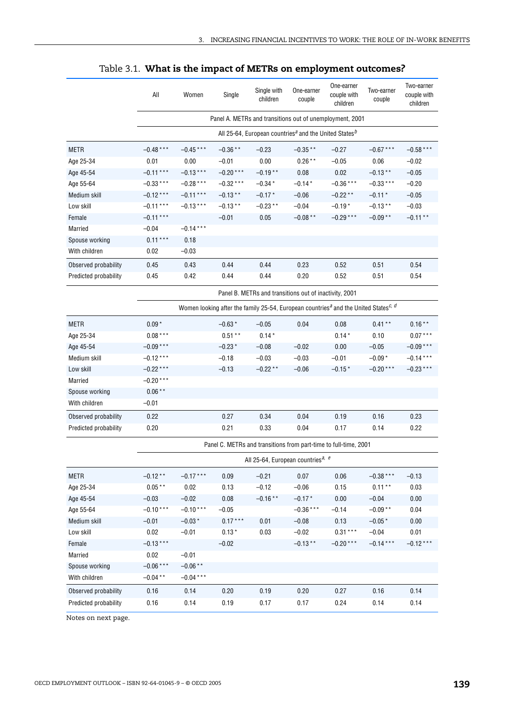|                       | All         | Women      | Single     | Single with<br>children | One-earner<br>couple                                                          | One-earner<br>couple with<br>children                                                                       | Two-earner<br>couple | Two-earner<br>couple with<br>children |
|-----------------------|-------------|------------|------------|-------------------------|-------------------------------------------------------------------------------|-------------------------------------------------------------------------------------------------------------|----------------------|---------------------------------------|
|                       |             |            |            |                         |                                                                               | Panel A. METRs and transitions out of unemployment, 2001                                                    |                      |                                       |
|                       |             |            |            |                         | All 25-64, European countries <sup>a</sup> and the United States <sup>b</sup> |                                                                                                             |                      |                                       |
| <b>METR</b>           | $-0.48$ *** | $-0.45***$ | $-0.36**$  | $-0.23$                 | $-0.35**$                                                                     | $-0.27$                                                                                                     | $-0.67***$           | $-0.58***$                            |
| Age 25-34             | 0.01        | 0.00       | $-0.01$    | 0.00                    | $0.26**$                                                                      | $-0.05$                                                                                                     | 0.06                 | $-0.02$                               |
| Age 45-54             | $-0.11***$  | $-0.13***$ | $-0.20***$ | $-0.19**$               | 0.08                                                                          | 0.02                                                                                                        | $-0.13**$            | $-0.05$                               |
| Age 55-64             | $-0.33***$  | $-0.28***$ | $-0.32***$ | $-0.34*$                | $-0.14*$                                                                      | $-0.36***$                                                                                                  | $-0.33***$           | $-0.20$                               |
| Medium skill          | $-0.12***$  | $-0.11***$ | $-0.13**$  | $-0.17*$                | $-0.06$                                                                       | $-0.22**$                                                                                                   | $-0.11*$             | $-0.05$                               |
| Low skill             | $-0.11***$  | $-0.13***$ | $-0.13**$  | $-0.23**$               | $-0.04$                                                                       | $-0.19*$                                                                                                    | $-0.13**$            | $-0.03$                               |
| Female                | $-0.11***$  |            | $-0.01$    | 0.05                    | $-0.08**$                                                                     | $-0.29***$                                                                                                  | $-0.09**$            | $-0.11**$                             |
| Married               | $-0.04$     | $-0.14***$ |            |                         |                                                                               |                                                                                                             |                      |                                       |
| Spouse working        | $0.11***$   | 0.18       |            |                         |                                                                               |                                                                                                             |                      |                                       |
| With children         | 0.02        | $-0.03$    |            |                         |                                                                               |                                                                                                             |                      |                                       |
| Observed probability  | 0.45        | 0.43       | 0.44       | 0.44                    | 0.23                                                                          | 0.52                                                                                                        | 0.51                 | 0.54                                  |
| Predicted probability | 0.45        | 0.42       | 0.44       | 0.44                    | 0.20                                                                          | 0.52                                                                                                        | 0.51                 | 0.54                                  |
|                       |             |            |            |                         | Panel B. METRs and transitions out of inactivity, 2001                        |                                                                                                             |                      |                                       |
|                       |             |            |            |                         |                                                                               | Women looking after the family 25-54, European countries <sup>a</sup> and the United States <sup>c, d</sup> |                      |                                       |
| <b>METR</b>           | $0.09*$     |            | $-0.63*$   | $-0.05$                 | 0.04                                                                          | 0.08                                                                                                        | $0.41**$             | $0.16**$                              |
| Age 25-34             | $0.08***$   |            | $0.51**$   | $0.14*$                 |                                                                               | $0.14*$                                                                                                     | 0.10                 | $0.07***$                             |
| Age 45-54             | $-0.09***$  |            | $-0.23*$   | $-0.08$                 | $-0.02$                                                                       | 0.00                                                                                                        | $-0.05$              | $-0.09***$                            |
| Medium skill          | $-0.12***$  |            | $-0.18$    | $-0.03$                 | $-0.03$                                                                       | $-0.01$                                                                                                     | $-0.09*$             | $-0.14***$                            |
| Low skill             | $-0.22***$  |            | $-0.13$    | $-0.22**$               | $-0.06$                                                                       | $-0.15*$                                                                                                    | $-0.20***$           | $-0.23$ ***                           |
| Married               | $-0.20***$  |            |            |                         |                                                                               |                                                                                                             |                      |                                       |
| Spouse working        | $0.06**$    |            |            |                         |                                                                               |                                                                                                             |                      |                                       |
| With children         | $-0.01$     |            |            |                         |                                                                               |                                                                                                             |                      |                                       |
| Observed probability  | 0.22        |            | 0.27       | 0.34                    | 0.04                                                                          | 0.19                                                                                                        | 0.16                 | 0.23                                  |
| Predicted probability | 0.20        |            | 0.21       | 0.33                    | 0.04                                                                          | 0.17                                                                                                        | 0.14                 | 0.22                                  |
|                       |             |            |            |                         |                                                                               | Panel C. METRs and transitions from part-time to full-time, 2001                                            |                      |                                       |
|                       |             |            |            |                         | All 25-64, European countries <sup>a, e</sup>                                 |                                                                                                             |                      |                                       |
| <b>METR</b>           | $-0.12**$   | $-0.17***$ | 0.09       | $-0.21$                 | 0.07                                                                          | 0.06                                                                                                        | $-0.38***$           | $-0.13$                               |
| Age 25-34             | $0.05**$    | 0.02       | 0.13       | $-0.12$                 | $-0.06$                                                                       | 0.15                                                                                                        | $0.11**$             | 0.03                                  |
| Age 45-54             | $-0.03$     | $-0.02$    | 0.08       | $-0.16**$               | $-0.17*$                                                                      | 0.00                                                                                                        | $-0.04$              | 0.00                                  |
| Age 55-64             | $-0.10***$  | $-0.10***$ | $-0.05$    |                         | $-0.36***$                                                                    | $-0.14$                                                                                                     | $-0.09**$            | 0.04                                  |
| Medium skill          | $-0.01$     | $-0.03*$   | $0.17***$  | 0.01                    | $-0.08$                                                                       | 0.13                                                                                                        | $-0.05*$             | 0.00                                  |
| Low skill             | 0.02        | $-0.01$    | $0.13*$    | 0.03                    | $-0.02$                                                                       | $0.31***$                                                                                                   | $-0.04$              | 0.01                                  |
| Female                | $-0.13***$  |            | $-0.02$    |                         | $-0.13**$                                                                     | $-0.20***$                                                                                                  | $-0.14***$           | $-0.12***$                            |
| Married               | 0.02        | $-0.01$    |            |                         |                                                                               |                                                                                                             |                      |                                       |
| Spouse working        | $-0.06$ *** | $-0.06**$  |            |                         |                                                                               |                                                                                                             |                      |                                       |
| With children         | $-0.04**$   | $-0.04***$ |            |                         |                                                                               |                                                                                                             |                      |                                       |
| Observed probability  | 0.16        | 0.14       | 0.20       | 0.19                    | 0.20                                                                          | 0.27                                                                                                        | 0.16                 | 0.14                                  |
| Predicted probability | 0.16        | 0.14       | 0.19       | 0.17                    | 0.17                                                                          | 0.24                                                                                                        | 0.14                 | 0.14                                  |
| Notes on next page.   |             |            |            |                         |                                                                               |                                                                                                             |                      |                                       |

## Table 3.1. **What is the impact of METRs on employment outcomes?**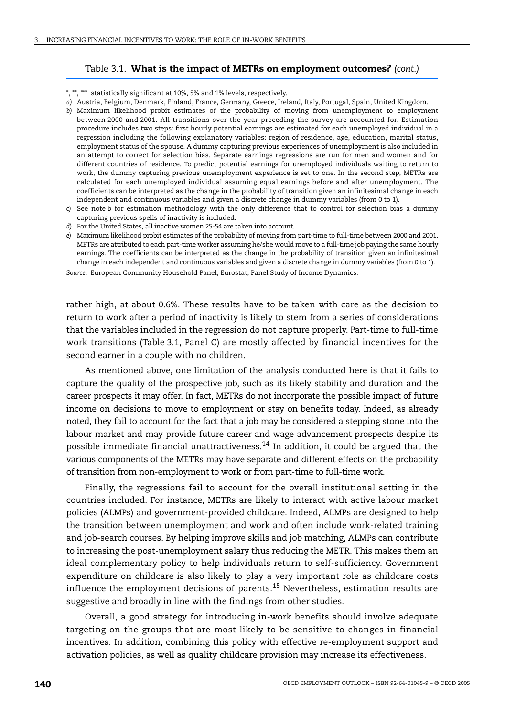## Table 3.1. **What is the impact of METRs on employment outcomes?** *(cont.)*

- \*, \*\*, \*\*\* statistically significant at 10%, 5% and 1% levels, respectively.
- *a)* Austria, Belgium, Denmark, Finland, France, Germany, Greece, Ireland, Italy, Portugal, Spain, United Kingdom.
- *b)* Maximum likelihood probit estimates of the probability of moving from unemployment to employment between 2000 and 2001. All transitions over the year preceding the survey are accounted for. Estimation procedure includes two steps: first hourly potential earnings are estimated for each unemployed individual in a regression including the following explanatory variables: region of residence, age, education, marital status, employment status of the spouse. A dummy capturing previous experiences of unemployment is also included in an attempt to correct for selection bias. Separate earnings regressions are run for men and women and for different countries of residence. To predict potential earnings for unemployed individuals waiting to return to work, the dummy capturing previous unemployment experience is set to one. In the second step, METRs are calculated for each unemployed individual assuming equal earnings before and after unemployment. The coefficients can be interpreted as the change in the probability of transition given an infinitesimal change in each independent and continuous variables and given a discrete change in dummy variables (from 0 to 1).
- *c)* See note b for estimation methodology with the only difference that to control for selection bias a dummy capturing previous spells of inactivity is included.
- *d)* For the United States, all inactive women 25-54 are taken into account.
- *e)* Maximum likelihood probit estimates of the probability of moving from part-time to full-time between 2000 and 2001. METRs are attributed to each part-time worker assuming he/she would move to a full-time job paying the same hourly earnings. The coefficients can be interpreted as the change in the probability of transition given an infinitesimal change in each independent and continuous variables and given a discrete change in dummy variables (from 0 to 1).

*Source:* European Community Household Panel, Eurostat; Panel Study of Income Dynamics.

rather high, at about 0.6%. These results have to be taken with care as the decision to return to work after a period of inactivity is likely to stem from a series of considerations that the variables included in the regression do not capture properly. Part-time to full-time work transitions (Table 3.1, Panel C) are mostly affected by financial incentives for the second earner in a couple with no children.

As mentioned above, one limitation of the analysis conducted here is that it fails to capture the quality of the prospective job, such as its likely stability and duration and the career prospects it may offer. In fact, METRs do not incorporate the possible impact of future income on decisions to move to employment or stay on benefits today. Indeed, as already noted, they fail to account for the fact that a job may be considered a stepping stone into the labour market and may provide future career and wage advancement prospects despite its possible immediate financial unattractiveness.14 In addition, it could be argued that the various components of the METRs may have separate and different effects on the probability of transition from non-employment to work or from part-time to full-time work.

Finally, the regressions fail to account for the overall institutional setting in the countries included. For instance, METRs are likely to interact with active labour market policies (ALMPs) and government-provided childcare. Indeed, ALMPs are designed to help the transition between unemployment and work and often include work-related training and job-search courses. By helping improve skills and job matching, ALMPs can contribute to increasing the post-unemployment salary thus reducing the METR. This makes them an ideal complementary policy to help individuals return to self-sufficiency. Government expenditure on childcare is also likely to play a very important role as childcare costs influence the employment decisions of parents.<sup>15</sup> Nevertheless, estimation results are suggestive and broadly in line with the findings from other studies.

Overall, a good strategy for introducing in-work benefits should involve adequate targeting on the groups that are most likely to be sensitive to changes in financial incentives. In addition, combining this policy with effective re-employment support and activation policies, as well as quality childcare provision may increase its effectiveness.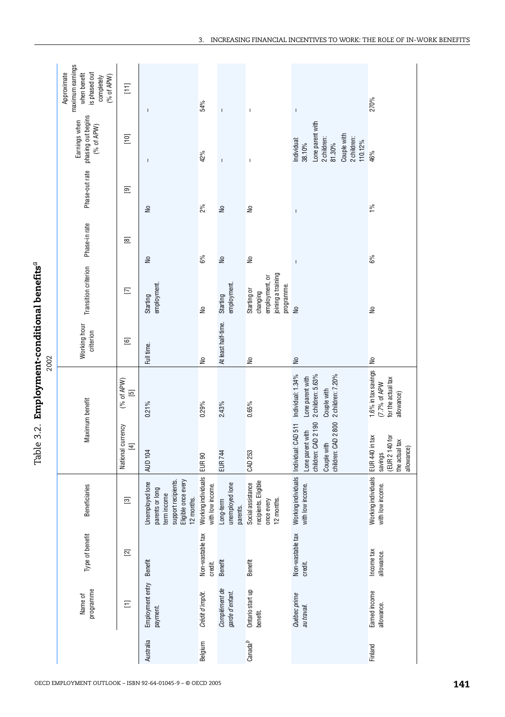|                                                                                              |                                                | Australia                                                                                                     | Belgium                                |                                          | Canada $b$                                                                    |                                                                                                             | Finland                                                                     |
|----------------------------------------------------------------------------------------------|------------------------------------------------|---------------------------------------------------------------------------------------------------------------|----------------------------------------|------------------------------------------|-------------------------------------------------------------------------------|-------------------------------------------------------------------------------------------------------------|-----------------------------------------------------------------------------|
| programme<br>Name of                                                                         | Ξ                                              | Employment entry<br>payment.                                                                                  | Crédit d'impôt.                        | Complément de<br>garde d'enfant.         | Ontario start up<br>benefit.                                                  | Québec prime<br>au travail.                                                                                 | Earned income<br>allowance.                                                 |
| Type of benefit                                                                              |                                                | Benefit                                                                                                       | Non-wastable tax<br>credit.            | Benefit                                  | Benefit                                                                       | Non-wastable tax<br>credit.                                                                                 | Income tax<br>allowance.                                                    |
| <b>Beneficiaries</b>                                                                         | $\boxed{3}$                                    | support recipients.<br>Eligible once every<br>Unemployed lone<br>parents or long<br>term income<br>12 months. | Workingindividuals<br>with low income. | unemployed lone<br>Long-term<br>parents. | recipients. Eligible<br>Social assistance<br>12 months.<br>once every         | Workingindividuals<br>with low income.                                                                      | Workingindividuals<br>with low income.                                      |
|                                                                                              | National currency<br>$\overline{4}$            | <b>AUD 104</b>                                                                                                | <b>EUR 90</b>                          | EUR 744                                  | CAD 253                                                                       | children: CAD 2800<br>children: CAD 2190<br>Individual: CAD 511<br>Lone parent with<br>Couple with          | EUR 440 in tax<br>(EUR 2 140 for<br>the actual tax<br>allowance)<br>savings |
| Maximum benefit                                                                              | (% of APW)<br>$\boxed{5}$                      | $0.21\%$                                                                                                      | 0.29%                                  | 2.43%                                    | 0.65%                                                                         | 2 children: 5.63%<br>2 children: 7.20%<br>Individual: 1.34%<br>Lone parent with<br>Couple with              | 1.6% in tax savings<br>for the actual tax<br>(7.7% of APW<br>allowance)     |
| Working hour<br>criterion                                                                    | $\boxed{6}$                                    | Full time.                                                                                                    | $\tilde{\mathbf{z}}$                   | At least half-time.                      | å                                                                             | $\geq$                                                                                                      | å                                                                           |
| Transition criterion                                                                         | $\Xi$                                          | employment.<br>Starting                                                                                       | $\geq$                                 | employment.<br>Starting                  | joining a training<br>employment, or<br>programme.<br>Starting or<br>changing | $\tilde{z}$                                                                                                 | $\geq$                                                                      |
| Phase-in rate                                                                                | $\boxed{8}$                                    | $\geq$                                                                                                        | 6%                                     | $\geq$                                   | $\mathrel{\mathop{\underline{\mathsf{e}}}}$                                   | $\mathbf{I}$                                                                                                | 6%                                                                          |
| Phase-out rate                                                                               | $\boxed{9}$                                    | $\geq$                                                                                                        | 2%                                     | $\geq$                                   | $\mathsf{S}$                                                                  | $\overline{\phantom{a}}$                                                                                    | $1\%$                                                                       |
| phasing out begins<br>Earnings when<br>(% of APW)                                            | $\begin{bmatrix} 1 & 0 \\ 0 & 1 \end{bmatrix}$ | $\mathbf{I}$                                                                                                  | 42%                                    | $\mathbf{I}$                             | $\mathbf{I}$                                                                  | Lone parent with<br>Couple with<br>2 children:<br>2 children:<br>Individual:<br>110.12%<br>81.30%<br>38.10% | 46%                                                                         |
| maximum earnings<br>Approximate<br>is phased out<br>when benefit<br>(% of APW)<br>completely | E                                              | $\mathbf{I}$                                                                                                  | 54%                                    | $\mathbf{I}$                             | $\mathsf I$                                                                   | $\mathsf I$                                                                                                 | 270%                                                                        |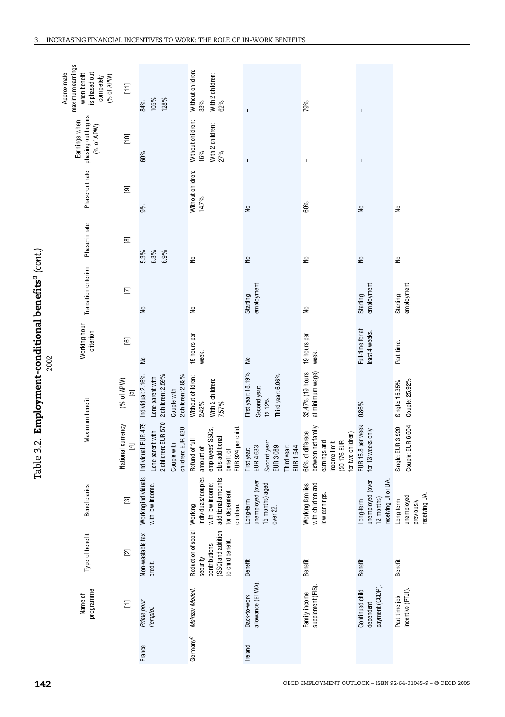|                      | programme<br>Name of                            | Type of benefit                                                                                                                                                                                                                                                                                             | <b>Beneficiaries</b>                                                                                        | Maximum benefit                                                                                           |                                                                                                | Working hour<br>criterion          | Transition criterion    | Phase-in rate        | Phase-out rate                               | phasing out begins<br>Earnings when<br>(% of APW)   | maximum earnings<br>Approximate<br>when benefit<br>is phased out<br>(% of APW)<br>completely |
|----------------------|-------------------------------------------------|-------------------------------------------------------------------------------------------------------------------------------------------------------------------------------------------------------------------------------------------------------------------------------------------------------------|-------------------------------------------------------------------------------------------------------------|-----------------------------------------------------------------------------------------------------------|------------------------------------------------------------------------------------------------|------------------------------------|-------------------------|----------------------|----------------------------------------------|-----------------------------------------------------|----------------------------------------------------------------------------------------------|
|                      | Ξ                                               | $[2] % \begin{center} \includegraphics[width=\linewidth]{imagesSupplemental_3.png} % \end{center} % \caption { % Our method shows the proposed method. % The method shows the proposed method. % The method shows the proposed method. % The method shows the proposed method. % } % \label{fig:example} %$ | $\Xi$                                                                                                       | National currency<br>互                                                                                    | (% of APW)<br>$\begin{bmatrix} 5 \end{bmatrix}$                                                | $\Xi$                              | $\Xi$                   | $\Xi$                | $\Xi$                                        | $[10]$                                              | $\Xi$                                                                                        |
| France               | Prime pour<br>l'emploi.                         | Non-wastable tax<br>credit.                                                                                                                                                                                                                                                                                 | $\overline{\mathbf{z}}$<br>Workingindividual<br>with low income.                                            | Individual: EUR 475<br>2 children: EUR 570<br>children: EUR 620<br>Lone parent with<br>Couple with        | 2 children: 2.59%<br>2 children: 2.82%<br>Individual: 2.16%<br>Lone parent with<br>Couple with | $\geq$                             | $\geq$                  | 6.3%<br>6.9%<br>5.3% | 9%                                           | 60%                                                 | 105%<br>128%<br>84%                                                                          |
| Germany <sup>c</sup> | Mainzer Modell.                                 | Reduction of social<br>(SSC) and addition<br>to child benefit.<br>contributions<br>security                                                                                                                                                                                                                 | individuals/couples<br>ċ.<br>additional amount<br>with low income;<br>for dependent<br>Working<br>children. | EUR 924 per child.<br>employees' SSCs,<br>plus additional<br>Refund of full<br>amount of<br>benefit of    | Without children:<br>With 2 children:<br>2.42%<br>7.57%                                        | 15 hours per<br>week.              | $\geq$                  | å                    | Without children:<br>14.7%                   | Without children:<br>With 2 children:<br>27%<br>16% | Without children:<br>With 2 children:<br>62%<br>33%                                          |
| Ireland              | allowance (BTWA)<br>Back-to-work                | Benefit                                                                                                                                                                                                                                                                                                     | unemployed (over<br>15 months) aged<br>Long-term<br>over 22.                                                | Second year:<br>EUR 3089<br>EUR 1 544<br>EUR4633<br>Third year:<br>First year:                            | First year: 18.19%<br>Third year: 6.06%<br>Second year:<br>12.12%                              | $\geq$                             | employment.<br>Starting | $\geq$               | $\geq$                                       | $\overline{1}$                                      | $\mathsf I$                                                                                  |
|                      | supplement (FIS).<br>Family income              | Benefit                                                                                                                                                                                                                                                                                                     | with children and<br>Working families<br>low earnings.                                                      | between net family<br>60% of differece<br>for two children)<br>earnings and<br>(20176 EUR<br>income limit | at minimum wage)<br>32.47% (19 hours                                                           | 19 hours per<br>week.              | $\geq$                  | ş                    | 60%                                          | $\overline{\phantom{a}}$                            | 79%                                                                                          |
|                      | payment (CCDP).<br>Continued child<br>dependent | Benefit                                                                                                                                                                                                                                                                                                     | unemployed (over<br>receiving UI or UA<br>12 months)<br>Long-term                                           | EUR 16.8 per week,<br>for 13 weeks only                                                                   | $0.86\%$                                                                                       | Full-time for at<br>least 4 weeks. | employment.<br>Starting | $\geq$               | $\geq$                                       |                                                     |                                                                                              |
|                      | incentive (PTJI).<br>Part-time job              | Benefit                                                                                                                                                                                                                                                                                                     | receiving UA.<br>unemployed<br>Long-term<br>previously                                                      | Couple: EUR 6 604<br>Single: EUR 3 920                                                                    | Couple: 25.92%<br>Single: 15.35%                                                               | Part-time.                         | employment.<br>Starting | $\geq$               | $\mathrel{\mathop{\underline{\mathcal{C}}}}$ | $\begin{array}{c} \end{array}$                      | $\begin{array}{c} \end{array}$                                                               |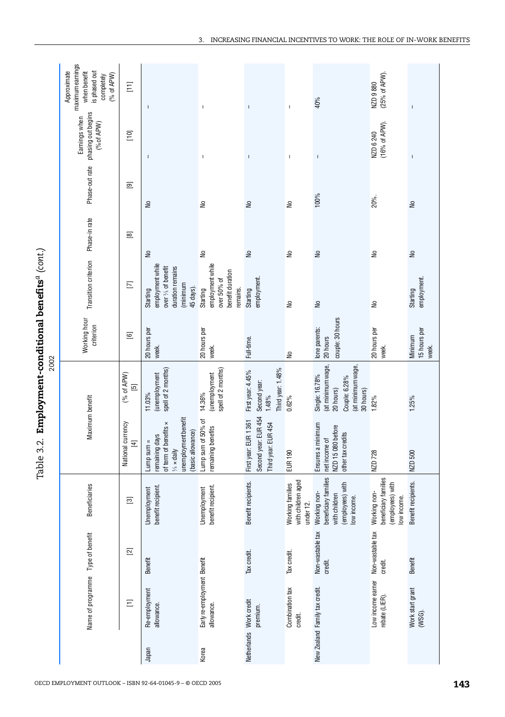| 500<br>t<br>j              |     |
|----------------------------|-----|
| į<br>į<br>١<br>ı<br>Í<br>ı | ֚֚֬ |
| איר הזה<br>$h$ $\geq 2$    |     |

|       | Name of programme                         | Type of benefit             | <b>Beneficiaries</b>                                                                     | Maximum benefit                                                                                                                         |                                                                                                     | Working hour<br>criterion                     | Transition criterion                                                                             | Phase-in rate | Phase-out rate | phasing out begins<br>Earnings when<br>(%of APW) | maximumearnings<br>Approximate<br>when benefit<br>is phased out<br>(% of APW)<br>completely |
|-------|-------------------------------------------|-----------------------------|------------------------------------------------------------------------------------------|-----------------------------------------------------------------------------------------------------------------------------------------|-----------------------------------------------------------------------------------------------------|-----------------------------------------------|--------------------------------------------------------------------------------------------------|---------------|----------------|--------------------------------------------------|---------------------------------------------------------------------------------------------|
|       | Ξ                                         |                             | $\boxed{3}$                                                                              | National currency<br>$[4]$                                                                                                              | (% of APW)<br>$\overline{5}$                                                                        | $\boxed{6}$                                   | $\Xi$                                                                                            | $\boxed{8}$   | இ              | $[10]$                                           | E                                                                                           |
| Japan | Re-employment<br>allowance.               | Benefit                     | benefit recipient.<br>Unemployment                                                       | unemployment benefit<br>of term of benefits ×<br>(basic allowance)<br>remaining days<br>= mns dum<br>$\frac{1}{3} \times \text{d}$ aily | spell of 2 months)<br>(unemployment<br>11.03%                                                       | 20 hours per<br>week.                         | employment while<br>duration remains<br>over 1/3 of benefit<br>(minimum<br>45 days).<br>Starting | $\geq$        | $\geq$         | $\mathbf{I}$                                     | $\overline{\phantom{a}}$                                                                    |
| Korea | Early re-employment Benefit<br>allowance. |                             | benefit recipient.<br>Unemployment                                                       | Lump sum of 50% of<br>remaining benefits                                                                                                | spell of 2 months)<br>(unemployment<br>14.36%                                                       | 20 hours per<br>week.                         | employment while<br>benefit duration<br>over 50% of<br>remains.<br>Starting                      | å             | å              | $\mathbf{I}$                                     | $\mathbf{I}$                                                                                |
|       | Netherlands Work credit<br>premium.       | Tax credit.                 | Benefit recipients.                                                                      | Second year: EUR 454<br>First year: EUR 1 361<br>Third year: EUR 454                                                                    | Third year: 1.48%<br>First year: 4.45%<br>Second year:<br>1.48%                                     | Full-time.                                    | employment.<br>Starting                                                                          | $\geq$        | $\geq$         | $\mathbf{I}$                                     | $\mathbf{I}$                                                                                |
|       | Combination tax<br>credit.                | Tax credit.                 | with children aged<br>Working families<br>under 12.                                      | EUR 190                                                                                                                                 | 0.62%                                                                                               | ş                                             | å                                                                                                | $\mathsf{S}$  | $\geq$         | $\mathbf{I}$                                     | $\mathbf{I}$                                                                                |
|       | New Zealand Family tax credit.            | Non-wastable tax<br>credit. | beneficiary families<br>(employees) with<br>low income.<br>Working non-<br>with children | Ensures a minimum<br>NZD 15 080 before<br>other tax credits<br>net income of                                                            | (at minimum wage,<br>(at minimum wage,<br>Single: 16.78%<br>Couple: 6.28%<br>20 hours)<br>30 hours) | couple: 30 hours<br>lone parents:<br>20 hours | $\geq$                                                                                           | $\geq$        | 100%           | $\mathbf{I}$                                     | 40%                                                                                         |
|       | Low income earner<br>rebate (LIER).       | Non-wastable tax<br>credit. | beneficiary families<br>(employees) with<br>Working non-<br>low income.                  | NZD 728                                                                                                                                 | 1.82%                                                                                               | 20 hours per<br>week.                         | ş                                                                                                | ₹             | 20%.           | (16% of APW).<br>NZD 6 240                       | (25% of APW).<br>NZD 9880                                                                   |
|       | Work start grant<br>(WSG).                | Benefit                     | Benefit recipients.                                                                      | NZD 500                                                                                                                                 | 1.25%                                                                                               | Minimum<br>15 hours per<br>week.              | employment.<br>Starting                                                                          | $\geq$        | $\geq$         | $\mathbf{I}$                                     | $\overline{\phantom{a}}$                                                                    |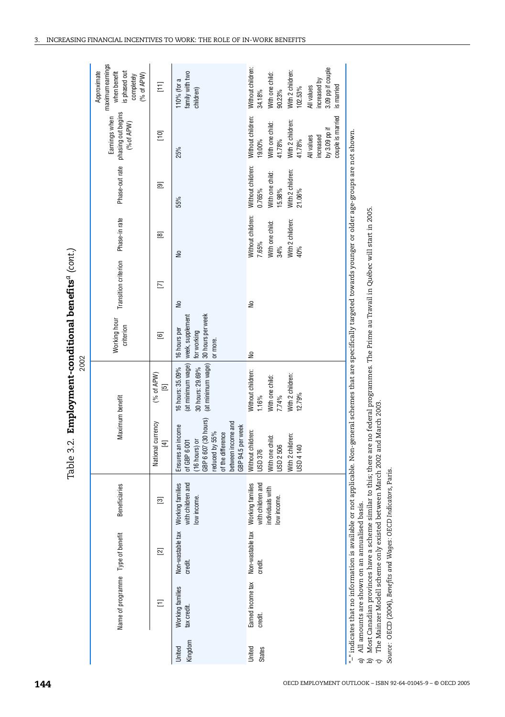| Without children:<br>With one child:<br>[@]<br>15.98%<br>0.765%<br>55%<br>Without children:<br>With one child:<br>$\boxed{8}$<br>7.65%<br>34%<br>$\geq$<br>$\Xi$<br>$\geq$<br>ş<br>30 hours per week<br>week, supplement<br>16 hours per<br>for working<br>$\begin{array}{c} \boxed{6} \end{array}$<br>or more.<br>$\tilde{z}$<br>(at minimum wage)<br>(at minimum wage)<br>30 hours: 29.69%<br>16 hours: 35.09%<br>Without children:<br>(% of APW)<br>With one child:<br>$\overline{5}$<br>7.74%<br>1.16%<br>GBP 6 607 (30 hours)<br>between income and<br>National currency<br>Ensures an income<br>GBP 94.5 per week<br>Without children:<br>reduced by 55%<br>of the difference<br>With one child:<br>(16 hours) or<br>of GBP 6001<br>$\overline{4}$<br>USD 2506<br>USD 376<br>with children and<br>with children and<br>Working families<br>Working families<br>individuals with<br>low income.<br>low income.<br>$\Xi$<br>Non-wastable tax<br>Non-wastable tax<br>credit.<br>credit.<br>Earned income tax<br>Working families<br>Ξ<br>tax credit.<br>credit.<br>Kingdom<br>United<br>United<br><b>States</b> | Name of programme Type of benefit | <b>Beneficiaries</b> | Maximum benefit  |                  | Working hour<br>criterion | Transition criterion Phase-in rate |                  | Phase-out rate   | phasing out begins<br>Earnings when<br>(%of APW)                                                                                                        | maximumearnings<br>Approximate<br>is phased out<br>when benefit<br>(% of APW)<br>completely                                                              |
|--------------------------------------------------------------------------------------------------------------------------------------------------------------------------------------------------------------------------------------------------------------------------------------------------------------------------------------------------------------------------------------------------------------------------------------------------------------------------------------------------------------------------------------------------------------------------------------------------------------------------------------------------------------------------------------------------------------------------------------------------------------------------------------------------------------------------------------------------------------------------------------------------------------------------------------------------------------------------------------------------------------------------------------------------------------------------------------------------------------------|-----------------------------------|----------------------|------------------|------------------|---------------------------|------------------------------------|------------------|------------------|---------------------------------------------------------------------------------------------------------------------------------------------------------|----------------------------------------------------------------------------------------------------------------------------------------------------------|
|                                                                                                                                                                                                                                                                                                                                                                                                                                                                                                                                                                                                                                                                                                                                                                                                                                                                                                                                                                                                                                                                                                                    |                                   |                      |                  |                  |                           |                                    |                  |                  | $\Xi$                                                                                                                                                   | E                                                                                                                                                        |
|                                                                                                                                                                                                                                                                                                                                                                                                                                                                                                                                                                                                                                                                                                                                                                                                                                                                                                                                                                                                                                                                                                                    |                                   |                      |                  |                  |                           |                                    |                  |                  | 25%                                                                                                                                                     | family with two<br>110% (for a<br>children)                                                                                                              |
| 21.06%<br>40%<br>12.79%<br>USD 4140                                                                                                                                                                                                                                                                                                                                                                                                                                                                                                                                                                                                                                                                                                                                                                                                                                                                                                                                                                                                                                                                                |                                   |                      | With 2 children: | With 2 children: |                           |                                    | With 2 children: | With 2 children: | Without children:<br>couple is married<br>With 2 children:<br>With one child:<br>by 3.09 pp if<br>All values<br>increased<br>41.78%<br>41.78%<br>19.00% | Without children:<br>3.09 pp if couple<br>With 2 children:<br>With one child:<br>increased by<br>is married<br>All values<br>102.53%<br>90.23%<br>34.18% |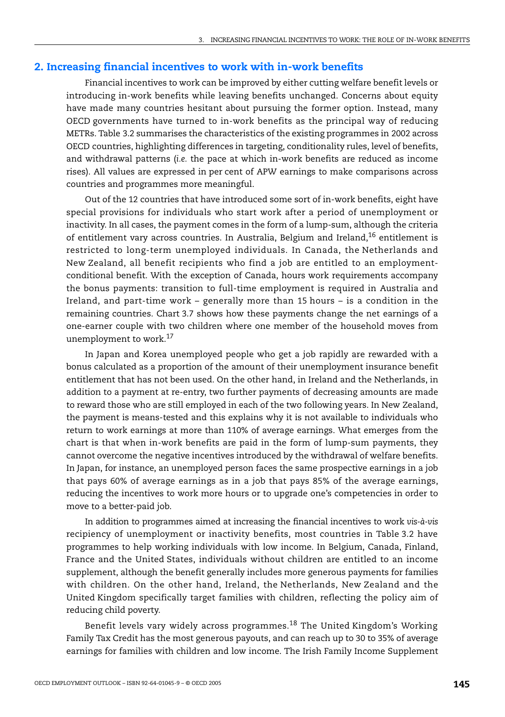## **2. Increasing financial incentives to work with in-work benefits**

Financial incentives to work can be improved by either cutting welfare benefit levels or introducing in-work benefits while leaving benefits unchanged. Concerns about equity have made many countries hesitant about pursuing the former option. Instead, many OECD governments have turned to in-work benefits as the principal way of reducing METRs. Table 3.2 summarises the characteristics of the existing programmes in 2002 across OECD countries, highlighting differences in targeting, conditionality rules, level of benefits, and withdrawal patterns (*i.e.* the pace at which in-work benefits are reduced as income rises). All values are expressed in per cent of APW earnings to make comparisons across countries and programmes more meaningful.

Out of the 12 countries that have introduced some sort of in-work benefits, eight have special provisions for individuals who start work after a period of unemployment or inactivity. In all cases, the payment comes in the form of a lump-sum, although the criteria of entitlement vary across countries. In Australia, Belgium and Ireland, $16$  entitlement is restricted to long-term unemployed individuals. In Canada, the Netherlands and New Zealand, all benefit recipients who find a job are entitled to an employmentconditional benefit. With the exception of Canada, hours work requirements accompany the bonus payments: transition to full-time employment is required in Australia and Ireland, and part-time work – generally more than 15 hours – is a condition in the remaining countries. Chart 3.7 shows how these payments change the net earnings of a one-earner couple with two children where one member of the household moves from unemployment to work.17

In Japan and Korea unemployed people who get a job rapidly are rewarded with a bonus calculated as a proportion of the amount of their unemployment insurance benefit entitlement that has not been used. On the other hand, in Ireland and the Netherlands, in addition to a payment at re-entry, two further payments of decreasing amounts are made to reward those who are still employed in each of the two following years. In New Zealand, the payment is means-tested and this explains why it is not available to individuals who return to work earnings at more than 110% of average earnings. What emerges from the chart is that when in-work benefits are paid in the form of lump-sum payments, they cannot overcome the negative incentives introduced by the withdrawal of welfare benefits. In Japan, for instance, an unemployed person faces the same prospective earnings in a job that pays 60% of average earnings as in a job that pays 85% of the average earnings, reducing the incentives to work more hours or to upgrade one's competencies in order to move to a better-paid job.

In addition to programmes aimed at increasing the financial incentives to work *vis-à-vis* recipiency of unemployment or inactivity benefits, most countries in Table 3.2 have programmes to help working individuals with low income. In Belgium, Canada, Finland, France and the United States, individuals without children are entitled to an income supplement, although the benefit generally includes more generous payments for families with children. On the other hand, Ireland, the Netherlands, New Zealand and the United Kingdom specifically target families with children, reflecting the policy aim of reducing child poverty.

Benefit levels vary widely across programmes.18 The United Kingdom's Working Family Tax Credit has the most generous payouts, and can reach up to 30 to 35% of average earnings for families with children and low income. The Irish Family Income Supplement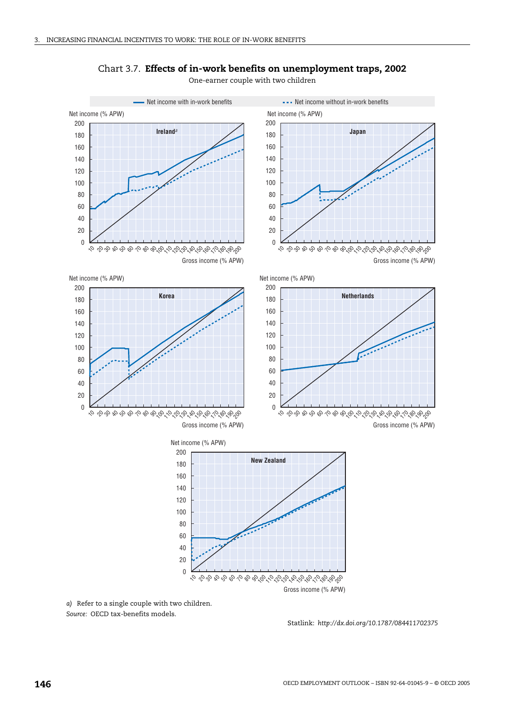

## Chart 3.7. **Effects of in-work benefits on unemployment traps, 2002**

One-earner couple with two children

*a)* Refer to a single couple with two children. *Source:* OECD tax-benefits models.

Statlink: *http://dx.doi.org/10.1787/084411702375*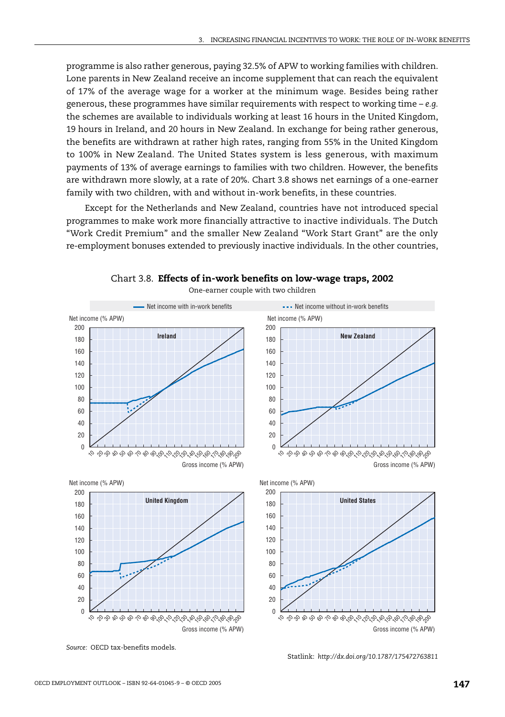programme is also rather generous, paying 32.5% of APW to working families with children. Lone parents in New Zealand receive an income supplement that can reach the equivalent of 17% of the average wage for a worker at the minimum wage. Besides being rather generous, these programmes have similar requirements with respect to working time – *e.g.* the schemes are available to individuals working at least 16 hours in the United Kingdom, 19 hours in Ireland, and 20 hours in New Zealand. In exchange for being rather generous, the benefits are withdrawn at rather high rates, ranging from 55% in the United Kingdom to 100% in New Zealand. The United States system is less generous, with maximum payments of 13% of average earnings to families with two children. However, the benefits are withdrawn more slowly, at a rate of 20%. Chart 3.8 shows net earnings of a one-earner family with two children, with and without in-work benefits, in these countries.

Except for the Netherlands and New Zealand, countries have not introduced special programmes to make work more financially attractive to inactive individuals. The Dutch "Work Credit Premium" and the smaller New Zealand "Work Start Grant" are the only re-employment bonuses extended to previously inactive individuals. In the other countries,



Chart 3.8. **Effects of in-work benefits on low-wage traps, 2002** One-earner couple with two children

Statlink: *http://dx.doi.org/10.1787/175472763811*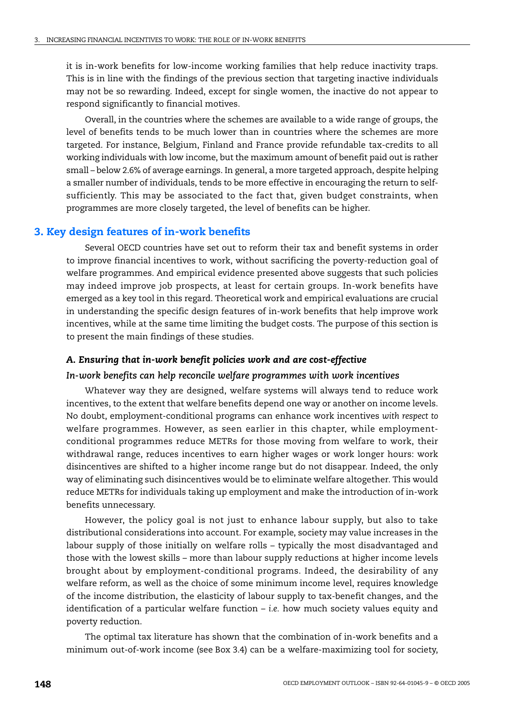it is in-work benefits for low-income working families that help reduce inactivity traps. This is in line with the findings of the previous section that targeting inactive individuals may not be so rewarding. Indeed, except for single women, the inactive do not appear to respond significantly to financial motives.

Overall, in the countries where the schemes are available to a wide range of groups, the level of benefits tends to be much lower than in countries where the schemes are more targeted. For instance, Belgium, Finland and France provide refundable tax-credits to all working individuals with low income, but the maximum amount of benefit paid out is rather small – below 2.6% of average earnings. In general, a more targeted approach, despite helping a smaller number of individuals, tends to be more effective in encouraging the return to selfsufficiently. This may be associated to the fact that, given budget constraints, when programmes are more closely targeted, the level of benefits can be higher.

## **3. Key design features of in-work benefits**

Several OECD countries have set out to reform their tax and benefit systems in order to improve financial incentives to work, without sacrificing the poverty-reduction goal of welfare programmes. And empirical evidence presented above suggests that such policies may indeed improve job prospects, at least for certain groups. In-work benefits have emerged as a key tool in this regard. Theoretical work and empirical evaluations are crucial in understanding the specific design features of in-work benefits that help improve work incentives, while at the same time limiting the budget costs. The purpose of this section is to present the main findings of these studies.

## *A. Ensuring that in-work benefit policies work and are cost-effective*

## *In-work benefits can help reconcile welfare programmes with work incentives*

Whatever way they are designed, welfare systems will always tend to reduce work incentives, to the extent that welfare benefits depend one way or another on income levels. No doubt, employment-conditional programs can enhance work incentives *with respect to* welfare programmes. However, as seen earlier in this chapter, while employmentconditional programmes reduce METRs for those moving from welfare to work, their withdrawal range, reduces incentives to earn higher wages or work longer hours: work disincentives are shifted to a higher income range but do not disappear. Indeed, the only way of eliminating such disincentives would be to eliminate welfare altogether. This would reduce METRs for individuals taking up employment and make the introduction of in-work benefits unnecessary.

However, the policy goal is not just to enhance labour supply, but also to take distributional considerations into account. For example, society may value increases in the labour supply of those initially on welfare rolls – typically the most disadvantaged and those with the lowest skills – more than labour supply reductions at higher income levels brought about by employment-conditional programs. Indeed, the desirability of any welfare reform, as well as the choice of some minimum income level, requires knowledge of the income distribution, the elasticity of labour supply to tax-benefit changes, and the identification of a particular welfare function – *i.e.* how much society values equity and poverty reduction.

The optimal tax literature has shown that the combination of in-work benefits and a minimum out-of-work income (see Box 3.4) can be a welfare-maximizing tool for society,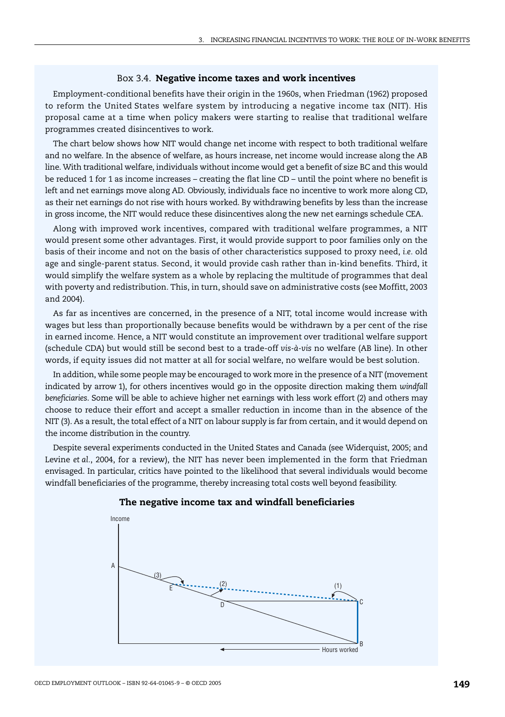#### Box 3.4. **Negative income taxes and work incentives**

Employment-conditional benefits have their origin in the 1960s, when Friedman (1962) proposed to reform the United States welfare system by introducing a negative income tax (NIT). His proposal came at a time when policy makers were starting to realise that traditional welfare programmes created disincentives to work.

The chart below shows how NIT would change net income with respect to both traditional welfare and no welfare. In the absence of welfare, as hours increase, net income would increase along the AB line. With traditional welfare, individuals without income would get a benefit of size BC and this would be reduced 1 for 1 as income increases – creating the flat line CD – until the point where no benefit is left and net earnings move along AD. Obviously, individuals face no incentive to work more along CD, as their net earnings do not rise with hours worked. By withdrawing benefits by less than the increase in gross income, the NIT would reduce these disincentives along the new net earnings schedule CEA.

Along with improved work incentives, compared with traditional welfare programmes, a NIT would present some other advantages. First, it would provide support to poor families only on the basis of their income and not on the basis of other characteristics supposed to proxy need, *i.e.* old age and single-parent status. Second, it would provide cash rather than in-kind benefits. Third, it would simplify the welfare system as a whole by replacing the multitude of programmes that deal with poverty and redistribution. This, in turn, should save on administrative costs (see Moffitt, 2003 and 2004).

As far as incentives are concerned, in the presence of a NIT, total income would increase with wages but less than proportionally because benefits would be withdrawn by a per cent of the rise in earned income. Hence, a NIT would constitute an improvement over traditional welfare support (schedule CDA) but would still be second best to a trade-off *vis-à-vis* no welfare (AB line). In other words, if equity issues did not matter at all for social welfare, no welfare would be best solution.

In addition, while some people may be encouraged to work more in the presence of a NIT (movement indicated by arrow 1), for others incentives would go in the opposite direction making them *windfall beneficiaries*. Some will be able to achieve higher net earnings with less work effort (2) and others may choose to reduce their effort and accept a smaller reduction in income than in the absence of the NIT (3). As a result, the total effect of a NIT on labour supply is far from certain, and it would depend on the income distribution in the country.

Despite several experiments conducted in the United States and Canada (see Widerquist, 2005; and Levine *et al.*, 2004, for a review), the NIT has never been implemented in the form that Friedman envisaged. In particular, critics have pointed to the likelihood that several individuals would become windfall beneficiaries of the programme, thereby increasing total costs well beyond feasibility.



### **The negative income tax and windfall beneficiaries**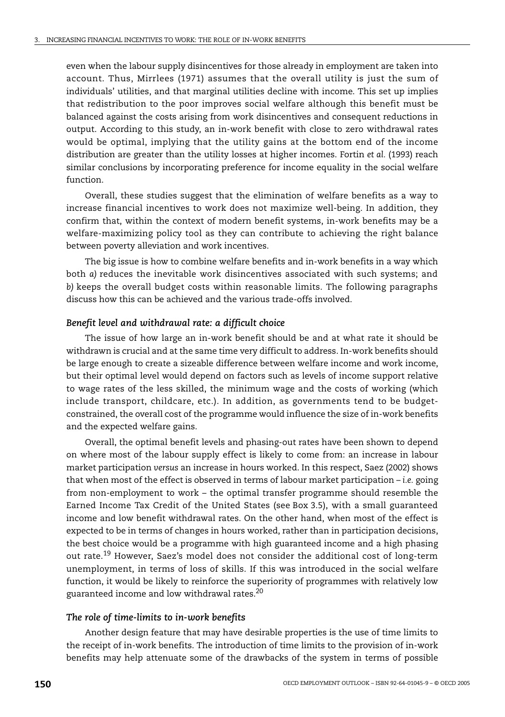even when the labour supply disincentives for those already in employment are taken into account. Thus, Mirrlees (1971) assumes that the overall utility is just the sum of individuals' utilities, and that marginal utilities decline with income. This set up implies that redistribution to the poor improves social welfare although this benefit must be balanced against the costs arising from work disincentives and consequent reductions in output. According to this study, an in-work benefit with close to zero withdrawal rates would be optimal, implying that the utility gains at the bottom end of the income distribution are greater than the utility losses at higher incomes. Fortin *et al.* (1993) reach similar conclusions by incorporating preference for income equality in the social welfare function.

Overall, these studies suggest that the elimination of welfare benefits as a way to increase financial incentives to work does not maximize well-being. In addition, they confirm that, within the context of modern benefit systems, in-work benefits may be a welfare-maximizing policy tool as they can contribute to achieving the right balance between poverty alleviation and work incentives.

The big issue is how to combine welfare benefits and in-work benefits in a way which both *a)* reduces the inevitable work disincentives associated with such systems; and *b)* keeps the overall budget costs within reasonable limits. The following paragraphs discuss how this can be achieved and the various trade-offs involved.

## *Benefit level and withdrawal rate: a difficult choice*

The issue of how large an in-work benefit should be and at what rate it should be withdrawn is crucial and at the same time very difficult to address. In-work benefits should be large enough to create a sizeable difference between welfare income and work income, but their optimal level would depend on factors such as levels of income support relative to wage rates of the less skilled, the minimum wage and the costs of working (which include transport, childcare, etc.). In addition, as governments tend to be budgetconstrained, the overall cost of the programme would influence the size of in-work benefits and the expected welfare gains.

Overall, the optimal benefit levels and phasing-out rates have been shown to depend on where most of the labour supply effect is likely to come from: an increase in labour market participation *versus* an increase in hours worked. In this respect, Saez (2002) shows that when most of the effect is observed in terms of labour market participation – *i.e.* going from non-employment to work – the optimal transfer programme should resemble the Earned Income Tax Credit of the United States (see Box 3.5), with a small guaranteed income and low benefit withdrawal rates. On the other hand, when most of the effect is expected to be in terms of changes in hours worked, rather than in participation decisions, the best choice would be a programme with high guaranteed income and a high phasing out rate.<sup>19</sup> However, Saez's model does not consider the additional cost of long-term unemployment, in terms of loss of skills. If this was introduced in the social welfare function, it would be likely to reinforce the superiority of programmes with relatively low guaranteed income and low withdrawal rates.<sup>20</sup>

## *The role of time-limits to in-work benefits*

Another design feature that may have desirable properties is the use of time limits to the receipt of in-work benefits. The introduction of time limits to the provision of in-work benefits may help attenuate some of the drawbacks of the system in terms of possible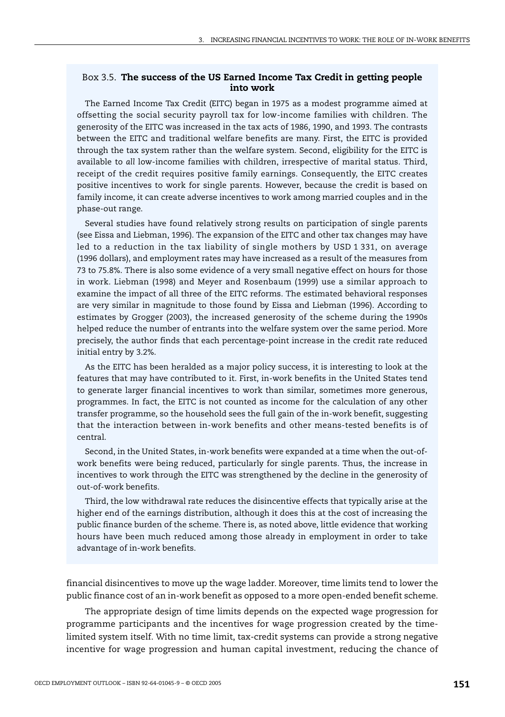## Box 3.5. **The success of the US Earned Income Tax Credit in getting people into work**

The Earned Income Tax Credit (EITC) began in 1975 as a modest programme aimed at offsetting the social security payroll tax for low-income families with children. The generosity of the EITC was increased in the tax acts of 1986, 1990, and 1993. The contrasts between the EITC and traditional welfare benefits are many. First, the EITC is provided through the tax system rather than the welfare system. Second, eligibility for the EITC is available to *all* low-income families with children, irrespective of marital status. Third, receipt of the credit requires positive family earnings. Consequently, the EITC creates positive incentives to work for single parents. However, because the credit is based on family income, it can create adverse incentives to work among married couples and in the phase-out range.

Several studies have found relatively strong results on participation of single parents (see Eissa and Liebman, 1996). The expansion of the EITC and other tax changes may have led to a reduction in the tax liability of single mothers by USD 1 331, on average (1996 dollars), and employment rates may have increased as a result of the measures from 73 to 75.8%. There is also some evidence of a very small negative effect on hours for those in work. Liebman (1998) and Meyer and Rosenbaum (1999) use a similar approach to examine the impact of all three of the EITC reforms. The estimated behavioral responses are very similar in magnitude to those found by Eissa and Liebman (1996). According to estimates by Grogger (2003), the increased generosity of the scheme during the 1990s helped reduce the number of entrants into the welfare system over the same period. More precisely, the author finds that each percentage-point increase in the credit rate reduced initial entry by 3.2%.

As the EITC has been heralded as a major policy success, it is interesting to look at the features that may have contributed to it. First, in-work benefits in the United States tend to generate larger financial incentives to work than similar, sometimes more generous, programmes. In fact, the EITC is not counted as income for the calculation of any other transfer programme, so the household sees the full gain of the in-work benefit, suggesting that the interaction between in-work benefits and other means-tested benefits is of central.

Second, in the United States, in-work benefits were expanded at a time when the out-ofwork benefits were being reduced, particularly for single parents. Thus, the increase in incentives to work through the EITC was strengthened by the decline in the generosity of out-of-work benefits.

Third, the low withdrawal rate reduces the disincentive effects that typically arise at the higher end of the earnings distribution, although it does this at the cost of increasing the public finance burden of the scheme. There is, as noted above, little evidence that working hours have been much reduced among those already in employment in order to take advantage of in-work benefits.

financial disincentives to move up the wage ladder. Moreover, time limits tend to lower the public finance cost of an in-work benefit as opposed to a more open-ended benefit scheme.

The appropriate design of time limits depends on the expected wage progression for programme participants and the incentives for wage progression created by the timelimited system itself. With no time limit, tax-credit systems can provide a strong negative incentive for wage progression and human capital investment, reducing the chance of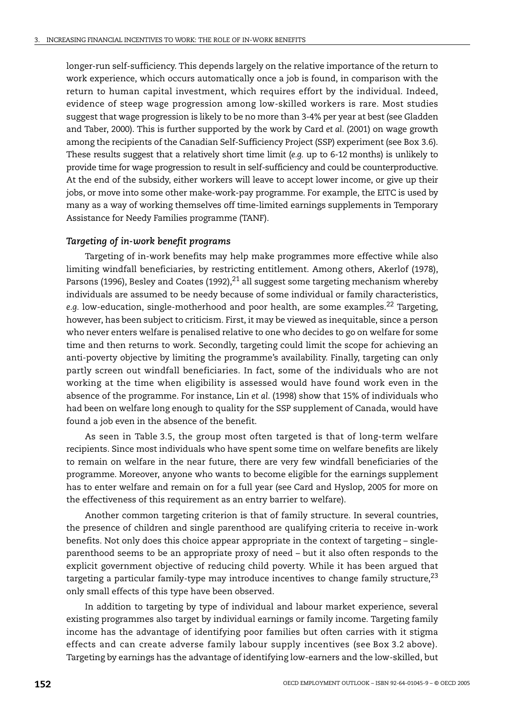longer-run self-sufficiency. This depends largely on the relative importance of the return to work experience, which occurs automatically once a job is found, in comparison with the return to human capital investment, which requires effort by the individual. Indeed, evidence of steep wage progression among low-skilled workers is rare. Most studies suggest that wage progression is likely to be no more than 3-4% per year at best (see Gladden and Taber, 2000). This is further supported by the work by Card *et al.* (2001) on wage growth among the recipients of the Canadian Self-Sufficiency Project (SSP) experiment (see Box 3.6). These results suggest that a relatively short time limit (*e.g.* up to 6-12 months) is unlikely to provide time for wage progression to result in self-sufficiency and could be counterproductive. At the end of the subsidy, either workers will leave to accept lower income, or give up their jobs, or move into some other make-work-pay programme. For example, the EITC is used by many as a way of working themselves off time-limited earnings supplements in Temporary Assistance for Needy Families programme (TANF).

## *Targeting of in-work benefit programs*

Targeting of in-work benefits may help make programmes more effective while also limiting windfall beneficiaries, by restricting entitlement. Among others, Akerlof (1978), Parsons (1996), Besley and Coates (1992), $^{21}$  all suggest some targeting mechanism whereby individuals are assumed to be needy because of some individual or family characteristics, *e.g.* low-education, single-motherhood and poor health, are some examples.22 Targeting, however, has been subject to criticism. First, it may be viewed as inequitable, since a person who never enters welfare is penalised relative to one who decides to go on welfare for some time and then returns to work. Secondly, targeting could limit the scope for achieving an anti-poverty objective by limiting the programme's availability. Finally, targeting can only partly screen out windfall beneficiaries. In fact, some of the individuals who are not working at the time when eligibility is assessed would have found work even in the absence of the programme. For instance, Lin *et al.* (1998) show that 15% of individuals who had been on welfare long enough to quality for the SSP supplement of Canada, would have found a job even in the absence of the benefit.

As seen in Table 3.5, the group most often targeted is that of long-term welfare recipients. Since most individuals who have spent some time on welfare benefits are likely to remain on welfare in the near future, there are very few windfall beneficiaries of the programme. Moreover, anyone who wants to become eligible for the earnings supplement has to enter welfare and remain on for a full year (see Card and Hyslop, 2005 for more on the effectiveness of this requirement as an entry barrier to welfare).

Another common targeting criterion is that of family structure. In several countries, the presence of children and single parenthood are qualifying criteria to receive in-work benefits. Not only does this choice appear appropriate in the context of targeting – singleparenthood seems to be an appropriate proxy of need – but it also often responds to the explicit government objective of reducing child poverty. While it has been argued that targeting a particular family-type may introduce incentives to change family structure, $^{23}$ only small effects of this type have been observed.

In addition to targeting by type of individual and labour market experience, several existing programmes also target by individual earnings or family income. Targeting family income has the advantage of identifying poor families but often carries with it stigma effects and can create adverse family labour supply incentives (see Box 3.2 above). Targeting by earnings has the advantage of identifying low-earners and the low-skilled, but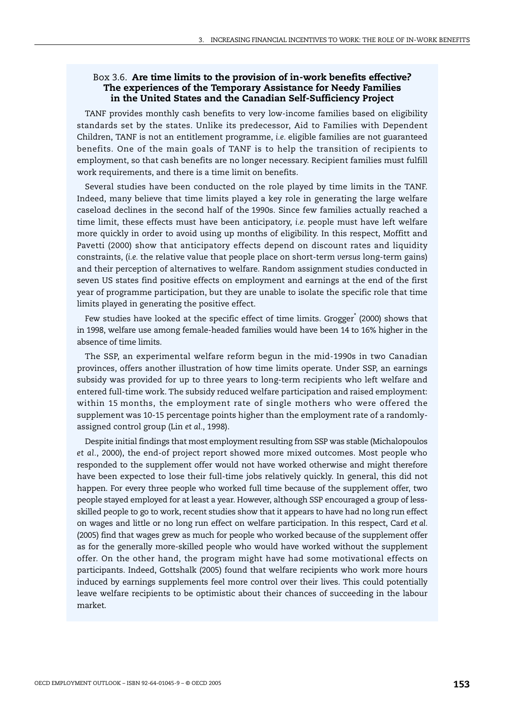## Box 3.6. **Are time limits to the provision of in-work benefits effective? The experiences of the Temporary Assistance for Needy Families in the United States and the Canadian Self-Sufficiency Project**

TANF provides monthly cash benefits to very low-income families based on eligibility standards set by the states. Unlike its predecessor, Aid to Families with Dependent Children, TANF is not an entitlement programme, *i.e.* eligible families are not guaranteed benefits. One of the main goals of TANF is to help the transition of recipients to employment, so that cash benefits are no longer necessary. Recipient families must fulfill work requirements, and there is a time limit on benefits.

Several studies have been conducted on the role played by time limits in the TANF. Indeed, many believe that time limits played a key role in generating the large welfare caseload declines in the second half of the 1990s. Since few families actually reached a time limit, these effects must have been anticipatory, *i.e.* people must have left welfare more quickly in order to avoid using up months of eligibility. In this respect, Moffitt and Pavetti (2000) show that anticipatory effects depend on discount rates and liquidity constraints, (*i.e.* the relative value that people place on short-term *versus* long-term gains) and their perception of alternatives to welfare. Random assignment studies conducted in seven US states find positive effects on employment and earnings at the end of the first year of programme participation, but they are unable to isolate the specific role that time limits played in generating the positive effect.

Few studies have looked at the specific effect of time limits. Grogger \*(2000) shows that in 1998, welfare use among female-headed families would have been 14 to 16% higher in the absence of time limits.

The SSP, an experimental welfare reform begun in the mid-1990s in two Canadian provinces, offers another illustration of how time limits operate. Under SSP, an earnings subsidy was provided for up to three years to long-term recipients who left welfare and entered full-time work. The subsidy reduced welfare participation and raised employment: within 15 months, the employment rate of single mothers who were offered the supplement was 10-15 percentage points higher than the employment rate of a randomlyassigned control group (Lin *et al.*, 1998).

Despite initial findings that most employment resulting from SSP was stable (Michalopoulos *et al.*, 2000), the end-of project report showed more mixed outcomes. Most people who responded to the supplement offer would not have worked otherwise and might therefore have been expected to lose their full-time jobs relatively quickly. In general, this did not happen. For every three people who worked full time because of the supplement offer, two people stayed employed for at least a year. However, although SSP encouraged a group of lessskilled people to go to work, recent studies show that it appears to have had no long run effect on wages and little or no long run effect on welfare participation. In this respect, Card *et al.* (2005) find that wages grew as much for people who worked because of the supplement offer as for the generally more-skilled people who would have worked without the supplement offer. On the other hand, the program might have had some motivational effects on participants. Indeed, Gottshalk (2005) found that welfare recipients who work more hours induced by earnings supplements feel more control over their lives. This could potentially leave welfare recipients to be optimistic about their chances of succeeding in the labour market.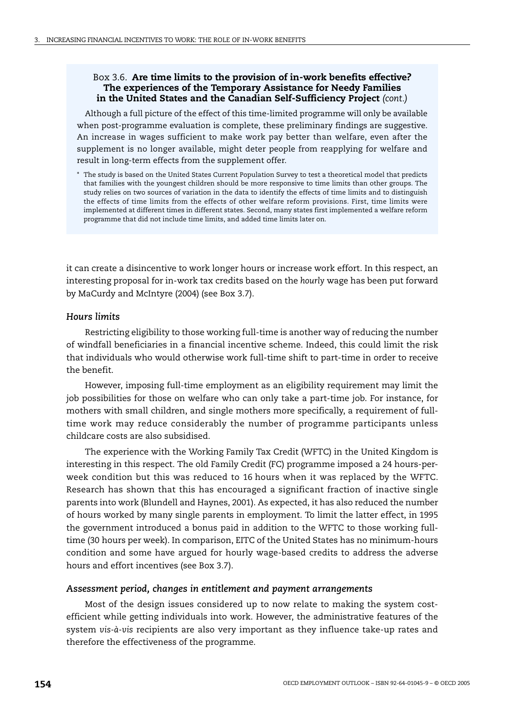## Box 3.6. **Are time limits to the provision of in-work benefits effective? The experiences of the Temporary Assistance for Needy Families in the United States and the Canadian Self-Sufficiency Project** *(cont.)*

Although a full picture of the effect of this time-limited programme will only be available when post-programme evaluation is complete, these preliminary findings are suggestive. An increase in wages sufficient to make work pay better than welfare, even after the supplement is no longer available, might deter people from reapplying for welfare and result in long-term effects from the supplement offer.

\* The study is based on the United States Current Population Survey to test a theoretical model that predicts that families with the youngest children should be more responsive to time limits than other groups. The study relies on two sources of variation in the data to identify the effects of time limits and to distinguish the effects of time limits from the effects of other welfare reform provisions. First, time limits were implemented at different times in different states. Second, many states first implemented a welfare reform programme that did not include time limits, and added time limits later on.

it can create a disincentive to work longer hours or increase work effort. In this respect, an interesting proposal for in-work tax credits based on the *hourly* wage has been put forward by MaCurdy and McIntyre (2004) (see Box 3.7).

## *Hours limits*

Restricting eligibility to those working full-time is another way of reducing the number of windfall beneficiaries in a financial incentive scheme. Indeed, this could limit the risk that individuals who would otherwise work full-time shift to part-time in order to receive the benefit.

However, imposing full-time employment as an eligibility requirement may limit the job possibilities for those on welfare who can only take a part-time job. For instance, for mothers with small children, and single mothers more specifically, a requirement of fulltime work may reduce considerably the number of programme participants unless childcare costs are also subsidised.

The experience with the Working Family Tax Credit (WFTC) in the United Kingdom is interesting in this respect. The old Family Credit (FC) programme imposed a 24 hours-perweek condition but this was reduced to 16 hours when it was replaced by the WFTC. Research has shown that this has encouraged a significant fraction of inactive single parents into work (Blundell and Haynes, 2001). As expected, it has also reduced the number of hours worked by many single parents in employment. To limit the latter effect, in 1995 the government introduced a bonus paid in addition to the WFTC to those working fulltime (30 hours per week). In comparison, EITC of the United States has no minimum-hours condition and some have argued for hourly wage-based credits to address the adverse hours and effort incentives (see Box 3.7).

#### *Assessment period, changes in entitlement and payment arrangements*

Most of the design issues considered up to now relate to making the system costefficient while getting individuals into work. However, the administrative features of the system *vis-à-vis* recipients are also very important as they influence take-up rates and therefore the effectiveness of the programme.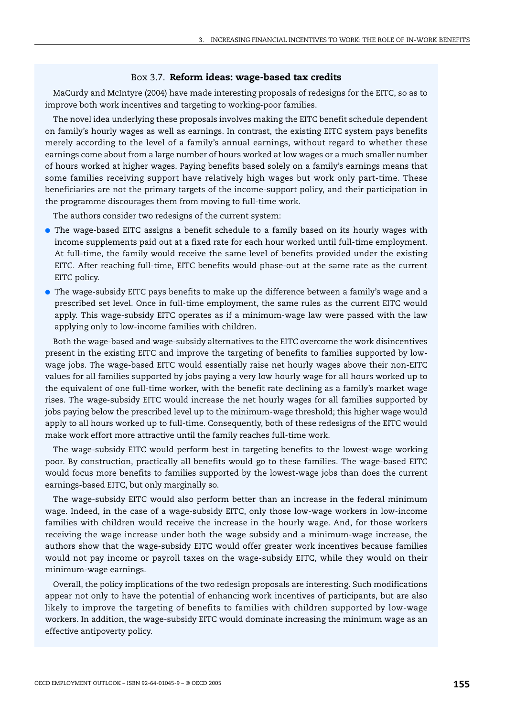## Box 3.7. **Reform ideas: wage-based tax credits**

MaCurdy and McIntyre (2004) have made interesting proposals of redesigns for the EITC, so as to improve both work incentives and targeting to working-poor families.

The novel idea underlying these proposals involves making the EITC benefit schedule dependent on family's hourly wages as well as earnings. In contrast, the existing EITC system pays benefits merely according to the level of a family's annual earnings, without regard to whether these earnings come about from a large number of hours worked at low wages or a much smaller number of hours worked at higher wages. Paying benefits based solely on a family's earnings means that some families receiving support have relatively high wages but work only part-time. These beneficiaries are not the primary targets of the income-support policy, and their participation in the programme discourages them from moving to full-time work.

The authors consider two redesigns of the current system:

- The wage-based EITC assigns a benefit schedule to a family based on its hourly wages with income supplements paid out at a fixed rate for each hour worked until full-time employment. At full-time, the family would receive the same level of benefits provided under the existing EITC. After reaching full-time, EITC benefits would phase-out at the same rate as the current EITC policy.
- The wage-subsidy EITC pays benefits to make up the difference between a family's wage and a prescribed set level. Once in full-time employment, the same rules as the current EITC would apply. This wage-subsidy EITC operates as if a minimum-wage law were passed with the law applying only to low-income families with children.

Both the wage-based and wage-subsidy alternatives to the EITC overcome the work disincentives present in the existing EITC and improve the targeting of benefits to families supported by lowwage jobs. The wage-based EITC would essentially raise net hourly wages above their non-EITC values for all families supported by jobs paying a very low hourly wage for all hours worked up to the equivalent of one full-time worker, with the benefit rate declining as a family's market wage rises. The wage-subsidy EITC would increase the net hourly wages for all families supported by jobs paying below the prescribed level up to the minimum-wage threshold; this higher wage would apply to all hours worked up to full-time. Consequently, both of these redesigns of the EITC would make work effort more attractive until the family reaches full-time work.

The wage-subsidy EITC would perform best in targeting benefits to the lowest-wage working poor. By construction, practically all benefits would go to these families. The wage-based EITC would focus more benefits to families supported by the lowest-wage jobs than does the current earnings-based EITC, but only marginally so.

The wage-subsidy EITC would also perform better than an increase in the federal minimum wage. Indeed, in the case of a wage-subsidy EITC, only those low-wage workers in low-income families with children would receive the increase in the hourly wage. And, for those workers receiving the wage increase under both the wage subsidy and a minimum-wage increase, the authors show that the wage-subsidy EITC would offer greater work incentives because families would not pay income or payroll taxes on the wage-subsidy EITC, while they would on their minimum-wage earnings.

Overall, the policy implications of the two redesign proposals are interesting. Such modifications appear not only to have the potential of enhancing work incentives of participants, but are also likely to improve the targeting of benefits to families with children supported by low-wage workers. In addition, the wage-subsidy EITC would dominate increasing the minimum wage as an effective antipoverty policy.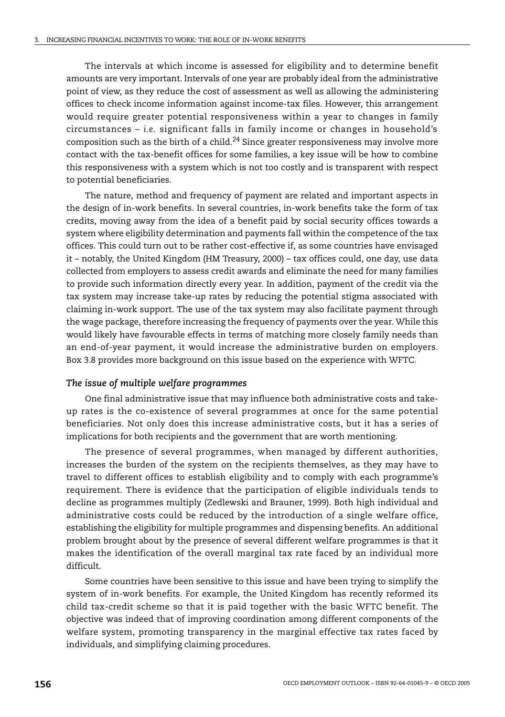The intervals at which income is assessed for eligibility and to determine benefit amounts are very important. Intervals of one year are probably ideal from the administrative point of view, as they reduce the cost of assessment as well as allowing the administering offices to check income information against income-tax files. However, this arrangement would require greater potential responsiveness within a year to changes in family circumstances – *i.e.* significant falls in family income or changes in household's composition such as the birth of a child. $^{24}$  Since greater responsiveness may involve more contact with the tax-benefit offices for some families, a key issue will be how to combine this responsiveness with a system which is not too costly and is transparent with respect to potential beneficiaries.

The nature, method and frequency of payment are related and important aspects in the design of in-work benefits. In several countries, in-work benefits take the form of tax credits, moving away from the idea of a benefit paid by social security offices towards a system where eligibility determination and payments fall within the competence of the tax offices. This could turn out to be rather cost-effective if, as some countries have envisaged it – notably, the United Kingdom (HM Treasury, 2000) – tax offices could, one day, use data collected from employers to assess credit awards and eliminate the need for many families to provide such information directly every year. In addition, payment of the credit via the tax system may increase take-up rates by reducing the potential stigma associated with claiming in-work support. The use of the tax system may also facilitate payment through the wage package, therefore increasing the frequency of payments over the year. While this would likely have favourable effects in terms of matching more closely family needs than an end-of-year payment, it would increase the administrative burden on employers. Box 3.8 provides more background on this issue based on the experience with WFTC.

## *The issue of multiple welfare programmes*

One final administrative issue that may influence both administrative costs and takeup rates is the co-existence of several programmes at once for the same potential beneficiaries. Not only does this increase administrative costs, but it has a series of implications for both recipients and the government that are worth mentioning.

The presence of several programmes, when managed by different authorities, increases the burden of the system on the recipients themselves, as they may have to travel to different offices to establish eligibility and to comply with each programme's requirement. There is evidence that the participation of eligible individuals tends to decline as programmes multiply (Zedlewski and Brauner, 1999). Both high individual and administrative costs could be reduced by the introduction of a single welfare office, establishing the eligibility for multiple programmes and dispensing benefits. An additional problem brought about by the presence of several different welfare programmes is that it makes the identification of the overall marginal tax rate faced by an individual more difficult.

Some countries have been sensitive to this issue and have been trying to simplify the system of in-work benefits. For example, the United Kingdom has recently reformed its child tax-credit scheme so that it is paid together with the basic WFTC benefit. The objective was indeed that of improving coordination among different components of the welfare system, promoting transparency in the marginal effective tax rates faced by individuals, and simplifying claiming procedures.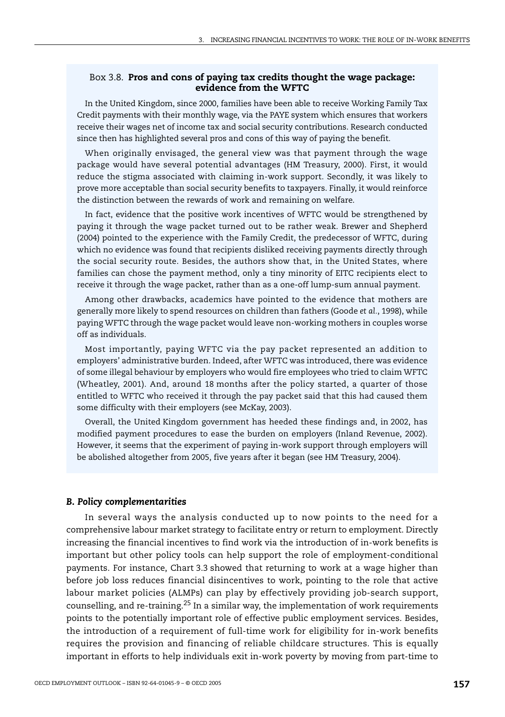## Box 3.8. **Pros and cons of paying tax credits thought the wage package: evidence from the WFTC**

In the United Kingdom, since 2000, families have been able to receive Working Family Tax Credit payments with their monthly wage, via the PAYE system which ensures that workers receive their wages net of income tax and social security contributions. Research conducted since then has highlighted several pros and cons of this way of paying the benefit.

When originally envisaged, the general view was that payment through the wage package would have several potential advantages (HM Treasury, 2000). First, it would reduce the stigma associated with claiming in-work support. Secondly, it was likely to prove more acceptable than social security benefits to taxpayers. Finally, it would reinforce the distinction between the rewards of work and remaining on welfare.

In fact, evidence that the positive work incentives of WFTC would be strengthened by paying it through the wage packet turned out to be rather weak. Brewer and Shepherd (2004) pointed to the experience with the Family Credit, the predecessor of WFTC, during which no evidence was found that recipients disliked receiving payments directly through the social security route. Besides, the authors show that, in the United States, where families can chose the payment method, only a tiny minority of EITC recipients elect to receive it through the wage packet, rather than as a one-off lump-sum annual payment.

Among other drawbacks, academics have pointed to the evidence that mothers are generally more likely to spend resources on children than fathers (Goode *et al.*, 1998), while paying WFTC through the wage packet would leave non-working mothers in couples worse off as individuals.

Most importantly, paying WFTC via the pay packet represented an addition to employers' administrative burden. Indeed, after WFTC was introduced, there was evidence of some illegal behaviour by employers who would fire employees who tried to claim WFTC (Wheatley, 2001). And, around 18 months after the policy started, a quarter of those entitled to WFTC who received it through the pay packet said that this had caused them some difficulty with their employers (see McKay, 2003).

Overall, the United Kingdom government has heeded these findings and, in 2002, has modified payment procedures to ease the burden on employers (Inland Revenue, 2002). However, it seems that the experiment of paying in-work support through employers will be abolished altogether from 2005, five years after it began (see HM Treasury, 2004).

#### *B. Policy complementarities*

In several ways the analysis conducted up to now points to the need for a comprehensive labour market strategy to facilitate entry or return to employment. Directly increasing the financial incentives to find work via the introduction of in-work benefits is important but other policy tools can help support the role of employment-conditional payments. For instance, Chart 3.3 showed that returning to work at a wage higher than before job loss reduces financial disincentives to work, pointing to the role that active labour market policies (ALMPs) can play by effectively providing job-search support, counselling, and re-training.25 In a similar way, the implementation of work requirements points to the potentially important role of effective public employment services. Besides, the introduction of a requirement of full-time work for eligibility for in-work benefits requires the provision and financing of reliable childcare structures. This is equally important in efforts to help individuals exit in-work poverty by moving from part-time to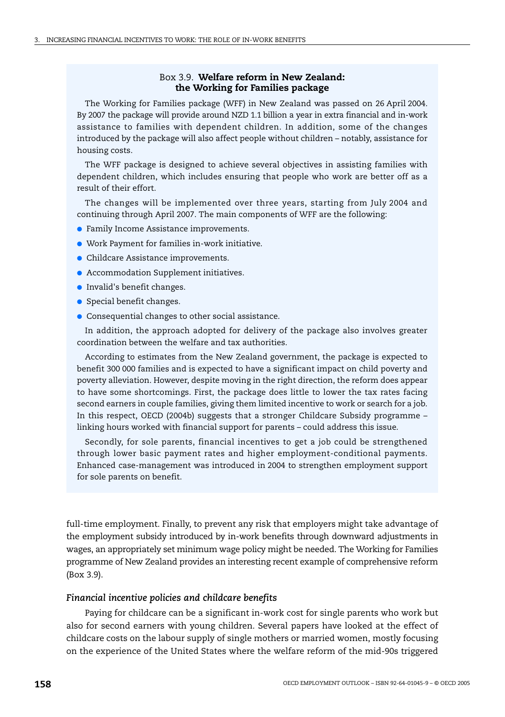## Box 3.9. **Welfare reform in New Zealand: the Working for Families package**

The Working for Families package (WFF) in New Zealand was passed on 26 April 2004. By 2007 the package will provide around NZD 1.1 billion a year in extra financial and in-work assistance to families with dependent children. In addition, some of the changes introduced by the package will also affect people without children – notably, assistance for housing costs.

The WFF package is designed to achieve several objectives in assisting families with dependent children, which includes ensuring that people who work are better off as a result of their effort.

The changes will be implemented over three years, starting from July 2004 and continuing through April 2007. The main components of WFF are the following:

- Family Income Assistance improvements.
- Work Payment for families in-work initiative.
- Childcare Assistance improvements.
- Accommodation Supplement initiatives.
- Invalid's benefit changes.
- Special benefit changes.
- Consequential changes to other social assistance.

In addition, the approach adopted for delivery of the package also involves greater coordination between the welfare and tax authorities.

According to estimates from the New Zealand government, the package is expected to benefit 300 000 families and is expected to have a significant impact on child poverty and poverty alleviation. However, despite moving in the right direction, the reform does appear to have some shortcomings. First, the package does little to lower the tax rates facing second earners in couple families, giving them limited incentive to work or search for a job. In this respect, OECD (2004b) suggests that a stronger Childcare Subsidy programme – linking hours worked with financial support for parents – could address this issue.

Secondly, for sole parents, financial incentives to get a job could be strengthened through lower basic payment rates and higher employment-conditional payments. Enhanced case-management was introduced in 2004 to strengthen employment support for sole parents on benefit.

full-time employment. Finally, to prevent any risk that employers might take advantage of the employment subsidy introduced by in-work benefits through downward adjustments in wages, an appropriately set minimum wage policy might be needed. The Working for Families programme of New Zealand provides an interesting recent example of comprehensive reform (Box 3.9).

## *Financial incentive policies and childcare benefits*

Paying for childcare can be a significant in-work cost for single parents who work but also for second earners with young children. Several papers have looked at the effect of childcare costs on the labour supply of single mothers or married women, mostly focusing on the experience of the United States where the welfare reform of the mid-90s triggered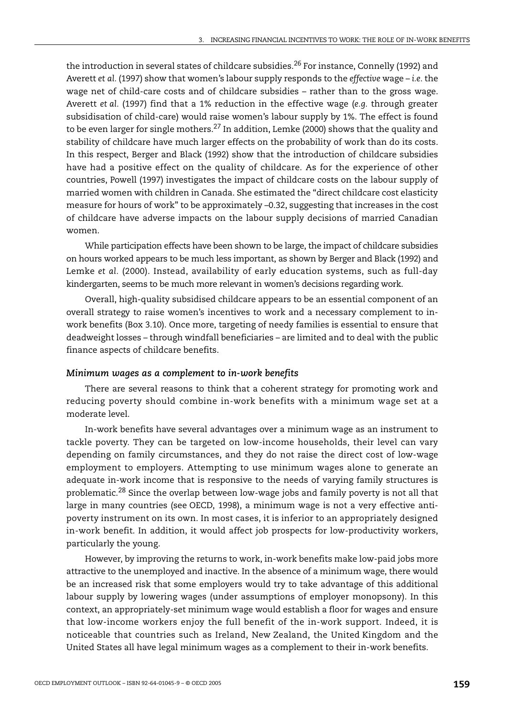the introduction in several states of childcare subsidies.<sup>26</sup> For instance, Connelly (1992) and Averett *et al.* (1997) show that women's labour supply responds to the *effective* wage – *i.e.* the wage net of child-care costs and of childcare subsidies – rather than to the gross wage. Averett *et al.* (1997) find that a 1% reduction in the effective wage (*e.g.* through greater subsidisation of child-care) would raise women's labour supply by 1%. The effect is found to be even larger for single mothers. $^{27}$  In addition, Lemke (2000) shows that the quality and stability of childcare have much larger effects on the probability of work than do its costs. In this respect, Berger and Black (1992) show that the introduction of childcare subsidies have had a positive effect on the quality of childcare. As for the experience of other countries, Powell (1997) investigates the impact of childcare costs on the labour supply of married women with children in Canada. She estimated the "direct childcare cost elasticity measure for hours of work" to be approximately –0.32, suggesting that increases in the cost of childcare have adverse impacts on the labour supply decisions of married Canadian women.

While participation effects have been shown to be large, the impact of childcare subsidies on hours worked appears to be much less important, as shown by Berger and Black (1992) and Lemke *et al.* (2000). Instead, availability of early education systems, such as full-day kindergarten, seems to be much more relevant in women's decisions regarding work.

Overall, high-quality subsidised childcare appears to be an essential component of an overall strategy to raise women's incentives to work and a necessary complement to inwork benefits (Box 3.10). Once more, targeting of needy families is essential to ensure that deadweight losses – through windfall beneficiaries – are limited and to deal with the public finance aspects of childcare benefits.

## *Minimum wages as a complement to in-work benefits*

There are several reasons to think that a coherent strategy for promoting work and reducing poverty should combine in-work benefits with a minimum wage set at a moderate level.

In-work benefits have several advantages over a minimum wage as an instrument to tackle poverty. They can be targeted on low-income households, their level can vary depending on family circumstances, and they do not raise the direct cost of low-wage employment to employers. Attempting to use minimum wages alone to generate an adequate in-work income that is responsive to the needs of varying family structures is problematic.28 Since the overlap between low-wage jobs and family poverty is not all that large in many countries (see OECD, 1998), a minimum wage is not a very effective antipoverty instrument on its own. In most cases, it is inferior to an appropriately designed in-work benefit. In addition, it would affect job prospects for low-productivity workers, particularly the young.

However, by improving the returns to work, in-work benefits make low-paid jobs more attractive to the unemployed and inactive. In the absence of a minimum wage, there would be an increased risk that some employers would try to take advantage of this additional labour supply by lowering wages (under assumptions of employer monopsony). In this context, an appropriately-set minimum wage would establish a floor for wages and ensure that low-income workers enjoy the full benefit of the in-work support. Indeed, it is noticeable that countries such as Ireland, New Zealand, the United Kingdom and the United States all have legal minimum wages as a complement to their in-work benefits.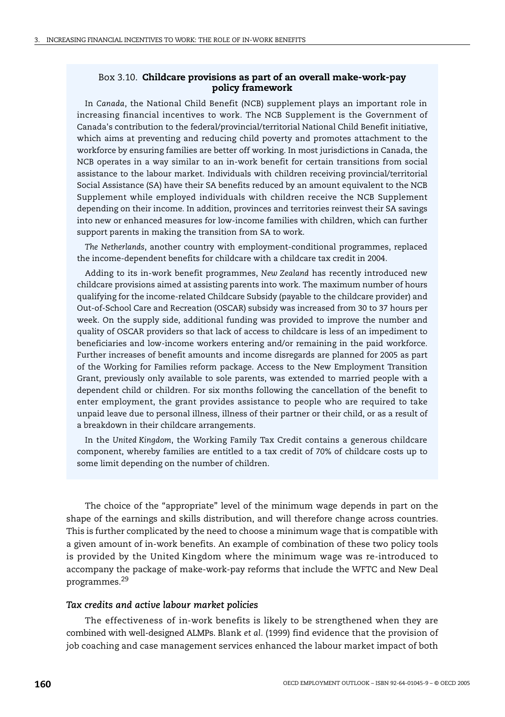## Box 3.10. **Childcare provisions as part of an overall make-work-pay policy framework**

In *Canada*, the National Child Benefit (NCB) supplement plays an important role in increasing financial incentives to work. The NCB Supplement is the Government of Canada's contribution to the federal/provincial/territorial National Child Benefit initiative, which aims at preventing and reducing child poverty and promotes attachment to the workforce by ensuring families are better off working. In most jurisdictions in Canada, the NCB operates in a way similar to an in-work benefit for certain transitions from social assistance to the labour market. Individuals with children receiving provincial/territorial Social Assistance (SA) have their SA benefits reduced by an amount equivalent to the NCB Supplement while employed individuals with children receive the NCB Supplement depending on their income. In addition, provinces and territories reinvest their SA savings into new or enhanced measures for low-income families with children, which can further support parents in making the transition from SA to work.

*The Netherlands*, another country with employment-conditional programmes, replaced the income-dependent benefits for childcare with a childcare tax credit in 2004.

Adding to its in-work benefit programmes, *New Zealand* has recently introduced new childcare provisions aimed at assisting parents into work. The maximum number of hours qualifying for the income-related Childcare Subsidy (payable to the childcare provider) and Out-of-School Care and Recreation (OSCAR) subsidy was increased from 30 to 37 hours per week. On the supply side, additional funding was provided to improve the number and quality of OSCAR providers so that lack of access to childcare is less of an impediment to beneficiaries and low-income workers entering and/or remaining in the paid workforce. Further increases of benefit amounts and income disregards are planned for 2005 as part of the Working for Families reform package. Access to the New Employment Transition Grant, previously only available to sole parents, was extended to married people with a dependent child or children. For six months following the cancellation of the benefit to enter employment, the grant provides assistance to people who are required to take unpaid leave due to personal illness, illness of their partner or their child, or as a result of a breakdown in their childcare arrangements.

In the *United Kingdom*, the Working Family Tax Credit contains a generous childcare component, whereby families are entitled to a tax credit of 70% of childcare costs up to some limit depending on the number of children.

The choice of the "appropriate" level of the minimum wage depends in part on the shape of the earnings and skills distribution, and will therefore change across countries. This is further complicated by the need to choose a minimum wage that is compatible with a given amount of in-work benefits. An example of combination of these two policy tools is provided by the United Kingdom where the minimum wage was re-introduced to accompany the package of make-work-pay reforms that include the WFTC and New Deal programmes.29

## *Tax credits and active labour market policies*

The effectiveness of in-work benefits is likely to be strengthened when they are combined with well-designed ALMPs. Blank *et al.* (1999) find evidence that the provision of job coaching and case management services enhanced the labour market impact of both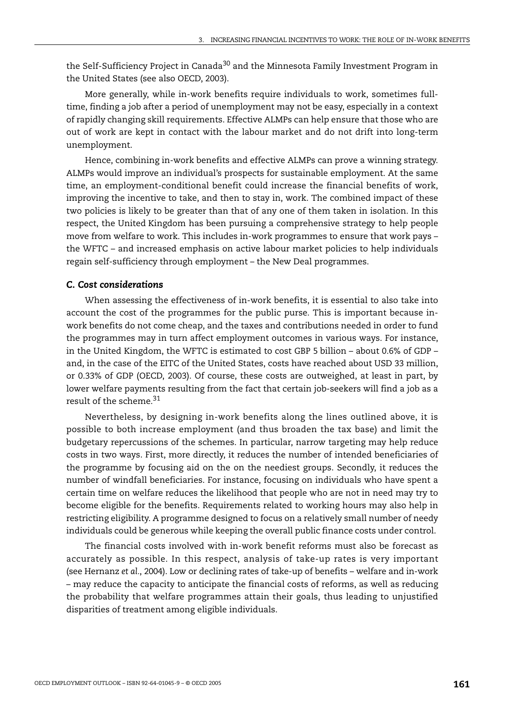the Self-Sufficiency Project in Canada<sup>30</sup> and the Minnesota Family Investment Program in the United States (see also OECD, 2003).

More generally, while in-work benefits require individuals to work, sometimes fulltime, finding a job after a period of unemployment may not be easy, especially in a context of rapidly changing skill requirements. Effective ALMPs can help ensure that those who are out of work are kept in contact with the labour market and do not drift into long-term unemployment.

Hence, combining in-work benefits and effective ALMPs can prove a winning strategy. ALMPs would improve an individual's prospects for sustainable employment. At the same time, an employment-conditional benefit could increase the financial benefits of work, improving the incentive to take, and then to stay in, work. The combined impact of these two policies is likely to be greater than that of any one of them taken in isolation. In this respect, the United Kingdom has been pursuing a comprehensive strategy to help people move from welfare to work. This includes in-work programmes to ensure that work pays – the WFTC – and increased emphasis on active labour market policies to help individuals regain self-sufficiency through employment – the New Deal programmes.

## *C. Cost considerations*

When assessing the effectiveness of in-work benefits, it is essential to also take into account the cost of the programmes for the public purse. This is important because inwork benefits do not come cheap, and the taxes and contributions needed in order to fund the programmes may in turn affect employment outcomes in various ways. For instance, in the United Kingdom, the WFTC is estimated to cost GBP 5 billion – about 0.6% of GDP – and, in the case of the EITC of the United States, costs have reached about USD 33 million, or 0.33% of GDP (OECD, 2003). Of course, these costs are outweighed, at least in part, by lower welfare payments resulting from the fact that certain job-seekers will find a job as a result of the scheme.31

Nevertheless, by designing in-work benefits along the lines outlined above, it is possible to both increase employment (and thus broaden the tax base) and limit the budgetary repercussions of the schemes. In particular, narrow targeting may help reduce costs in two ways. First, more directly, it reduces the number of intended beneficiaries of the programme by focusing aid on the on the neediest groups. Secondly, it reduces the number of windfall beneficiaries. For instance, focusing on individuals who have spent a certain time on welfare reduces the likelihood that people who are not in need may try to become eligible for the benefits. Requirements related to working hours may also help in restricting eligibility. A programme designed to focus on a relatively small number of needy individuals could be generous while keeping the overall public finance costs under control.

The financial costs involved with in-work benefit reforms must also be forecast as accurately as possible. In this respect, analysis of take-up rates is very important (see Hernanz *et al.*, 2004). Low or declining rates of take-up of benefits – welfare and in-work – may reduce the capacity to anticipate the financial costs of reforms, as well as reducing the probability that welfare programmes attain their goals, thus leading to unjustified disparities of treatment among eligible individuals.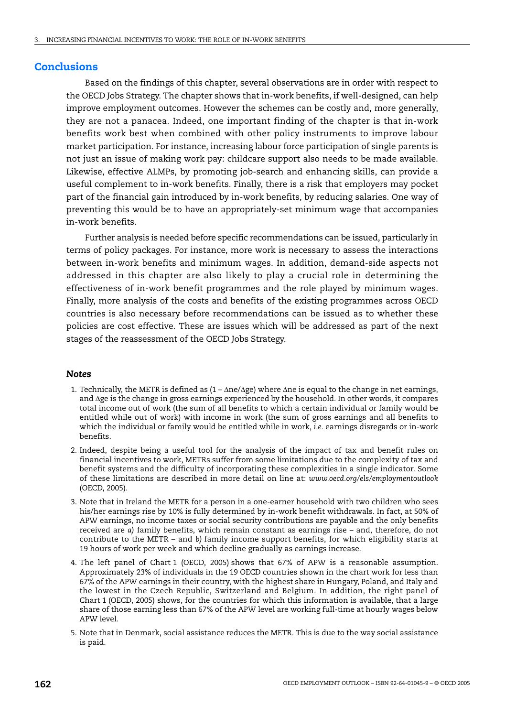## **Conclusions**

Based on the findings of this chapter, several observations are in order with respect to the OECD Jobs Strategy. The chapter shows that in-work benefits, if well-designed, can help improve employment outcomes. However the schemes can be costly and, more generally, they are not a panacea. Indeed, one important finding of the chapter is that in-work benefits work best when combined with other policy instruments to improve labour market participation. For instance, increasing labour force participation of single parents is not just an issue of making work pay: childcare support also needs to be made available. Likewise, effective ALMPs, by promoting job-search and enhancing skills, can provide a useful complement to in-work benefits. Finally, there is a risk that employers may pocket part of the financial gain introduced by in-work benefits, by reducing salaries. One way of preventing this would be to have an appropriately-set minimum wage that accompanies in-work benefits.

Further analysis is needed before specific recommendations can be issued, particularly in terms of policy packages. For instance, more work is necessary to assess the interactions between in-work benefits and minimum wages. In addition, demand-side aspects not addressed in this chapter are also likely to play a crucial role in determining the effectiveness of in-work benefit programmes and the role played by minimum wages. Finally, more analysis of the costs and benefits of the existing programmes across OECD countries is also necessary before recommendations can be issued as to whether these policies are cost effective. These are issues which will be addressed as part of the next stages of the reassessment of the OECD Jobs Strategy.

#### *Notes*

- 1. Technically, the METR is defined as (1 ∆ne/∆ge) where ∆ne is equal to the change in net earnings, and ∆ge is the change in gross earnings experienced by the household. In other words, it compares total income out of work (the sum of all benefits to which a certain individual or family would be entitled while out of work) with income in work (the sum of gross earnings and all benefits to which the individual or family would be entitled while in work, *i.e.* earnings disregards or in-work benefits.
- 2. Indeed, despite being a useful tool for the analysis of the impact of tax and benefit rules on financial incentives to work, METRs suffer from some limitations due to the complexity of tax and benefit systems and the difficulty of incorporating these complexities in a single indicator. Some of these limitations are described in more detail on line at: *www.oecd.org/els/employmentoutlook* (OECD, 2005).
- 3. Note that in Ireland the METR for a person in a one-earner household with two children who sees his/her earnings rise by 10% is fully determined by in-work benefit withdrawals. In fact, at 50% of APW earnings, no income taxes or social security contributions are payable and the only benefits received are *a)* family benefits, which remain constant as earnings rise – and, therefore, do not contribute to the METR – and *b)* family income support benefits, for which eligibility starts at 19 hours of work per week and which decline gradually as earnings increase.
- 4. The left panel of Chart 1 (OECD, 2005) shows that 67% of APW is a reasonable assumption. Approximately 23% of individuals in the 19 OECD countries shown in the chart work for less than 67% of the APW earnings in their country, with the highest share in Hungary, Poland, and Italy and the lowest in the Czech Republic, Switzerland and Belgium. In addition, the right panel of Chart 1 (OECD, 2005) shows, for the countries for which this information is available, that a large share of those earning less than 67% of the APW level are working full-time at hourly wages below APW level.
- 5. Note that in Denmark, social assistance reduces the METR. This is due to the way social assistance is paid.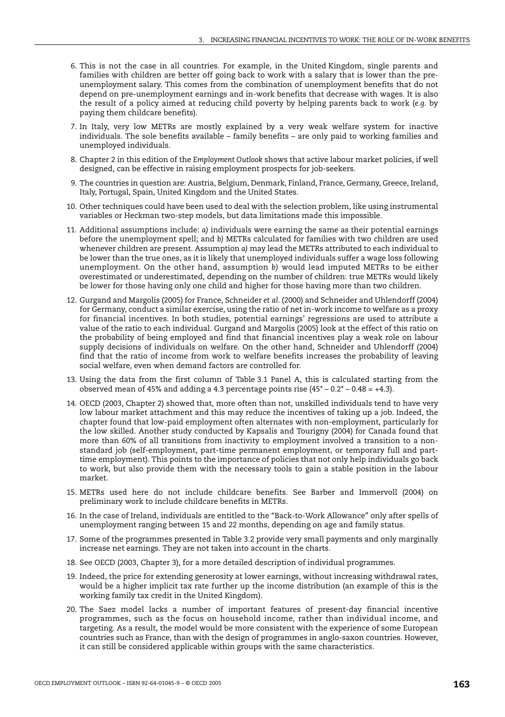- 6. This is not the case in all countries. For example, in the United Kingdom, single parents and families with children are better off going back to work with a salary that is lower than the preunemployment salary. This comes from the combination of unemployment benefits that do not depend on pre-unemployment earnings and in-work benefits that decrease with wages. It is also the result of a policy aimed at reducing child poverty by helping parents back to work (*e.g.* by paying them childcare benefits).
- 7. In Italy, very low METRs are mostly explained by a very weak welfare system for inactive individuals. The sole benefits available – family benefits – are only paid to working families and unemployed individuals.
- 8. Chapter 2 in this edition of the *Employment Outlook* shows that active labour market policies, if well designed, can be effective in raising employment prospects for job-seekers.
- 9. The countries in question are: Austria, Belgium, Denmark, Finland, France, Germany, Greece, Ireland, Italy, Portugal, Spain, United Kingdom and the United States.
- 10. Other techniques could have been used to deal with the selection problem, like using instrumental variables or Heckman two-step models, but data limitations made this impossible.
- 11. Additional assumptions include: *a)* individuals were earning the same as their potential earnings before the unemployment spell; and *b)* METRs calculated for families with two children are used whenever children are present. Assumption *a)* may lead the METRs attributed to each individual to be lower than the true ones, as it is likely that unemployed individuals suffer a wage loss following unemployment. On the other hand, assumption *b)* would lead imputed METRs to be either overestimated or underestimated, depending on the number of children: true METRs would likely be lower for those having only one child and higher for those having more than two children.
- 12. Gurgand and Margolis (2005) for France, Schneider *et al.* (2000) and Schneider and Uhlendorff (2004) for Germany, conduct a similar exercise, using the ratio of net in-work income to welfare as a proxy for financial incentives. In both studies, potential earnings' regressions are used to attribute a value of the ratio to each individual. Gurgand and Margolis (2005) look at the effect of this ratio on the probability of being employed and find that financial incentives play a weak role on labour supply decisions of individuals on welfare. On the other hand, Schneider and Uhlendorff (2004) find that the ratio of income from work to welfare benefits increases the probability of leaving social welfare, even when demand factors are controlled for.
- 13. Using the data from the first column of Table 3.1 Panel A, this is calculated starting from the observed mean of 45% and adding a 4.3 percentage points rise  $(45^* - 0.2^* - 0.48 = +4.3)$ .
- 14. OECD (2003, Chapter 2) showed that, more often than not, unskilled individuals tend to have very low labour market attachment and this may reduce the incentives of taking up a job. Indeed, the chapter found that low-paid employment often alternates with non-employment, particularly for the low skilled. Another study conducted by Kapsalis and Tourigny (2004) for Canada found that more than 60% of all transitions from inactivity to employment involved a transition to a nonstandard job (self-employment, part-time permanent employment, or temporary full and parttime employment). This points to the importance of policies that not only help individuals go back to work, but also provide them with the necessary tools to gain a stable position in the labour market.
- 15. METRs used here do not include childcare benefits. See Barber and Immervoll (2004) on preliminary work to include childcare benefits in METRs.
- 16. In the case of Ireland, individuals are entitled to the "Back-to-Work Allowance" only after spells of unemployment ranging between 15 and 22 months, depending on age and family status.
- 17. Some of the programmes presented in Table 3.2 provide very small payments and only marginally increase net earnings. They are not taken into account in the charts.
- 18. See OECD (2003, Chapter 3), for a more detailed description of individual programmes.
- 19. Indeed, the price for extending generosity at lower earnings, without increasing withdrawal rates, would be a higher implicit tax rate further up the income distribution (an example of this is the working family tax credit in the United Kingdom).
- 20. The Saez model lacks a number of important features of present-day financial incentive programmes, such as the focus on household income, rather than individual income, and targeting. As a result, the model would be more consistent with the experience of some European countries such as France, than with the design of programmes in anglo-saxon countries. However, it can still be considered applicable within groups with the same characteristics.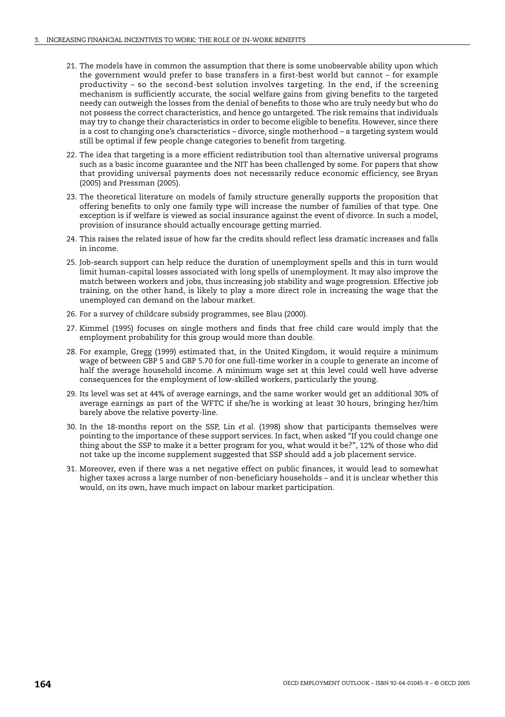- 21. The models have in common the assumption that there is some unobservable ability upon which the government would prefer to base transfers in a first-best world but cannot – for example productivity – so the second-best solution involves targeting. In the end, if the screening mechanism is sufficiently accurate, the social welfare gains from giving benefits to the targeted needy can outweigh the losses from the denial of benefits to those who are truly needy but who do not possess the correct characteristics, and hence go untargeted. The risk remains that individuals may try to change their characteristics in order to become eligible to benefits. However, since there is a cost to changing one's characteristics – divorce, single motherhood – a targeting system would still be optimal if few people change categories to benefit from targeting.
- 22. The idea that targeting is a more efficient redistribution tool than alternative universal programs such as a basic income guarantee and the NIT has been challenged by some. For papers that show that providing universal payments does not necessarily reduce economic efficiency, see Bryan (2005) and Pressman (2005).
- 23. The theoretical literature on models of family structure generally supports the proposition that offering benefits to only one family type will increase the number of families of that type. One exception is if welfare is viewed as social insurance against the event of divorce. In such a model, provision of insurance should actually encourage getting married.
- 24. This raises the related issue of how far the credits should reflect less dramatic increases and falls in income.
- 25. Job-search support can help reduce the duration of unemployment spells and this in turn would limit human-capital losses associated with long spells of unemployment. It may also improve the match between workers and jobs, thus increasing job stability and wage progression. Effective job training, on the other hand, is likely to play a more direct role in increasing the wage that the unemployed can demand on the labour market.
- 26. For a survey of childcare subsidy programmes, see Blau (2000).
- 27. Kimmel (1995) focuses on single mothers and finds that free child care would imply that the employment probability for this group would more than double.
- 28. For example, Gregg (1999) estimated that, in the United Kingdom, it would require a minimum wage of between GBP 5 and GBP 5.70 for one full-time worker in a couple to generate an income of half the average household income. A minimum wage set at this level could well have adverse consequences for the employment of low-skilled workers, particularly the young.
- 29. Its level was set at 44% of average earnings, and the same worker would get an additional 30% of average earnings as part of the WFTC if she/he is working at least 30 hours, bringing her/him barely above the relative poverty-line.
- 30. In the 18-months report on the SSP, Lin *et al.* (1998) show that participants themselves were pointing to the importance of these support services. In fact, when asked "If you could change one thing about the SSP to make it a better program for you, what would it be?", 12% of those who did not take up the income supplement suggested that SSP should add a job placement service.
- 31. Moreover, even if there was a net negative effect on public finances, it would lead to somewhat higher taxes across a large number of non-beneficiary households – and it is unclear whether this would, on its own, have much impact on labour market participation.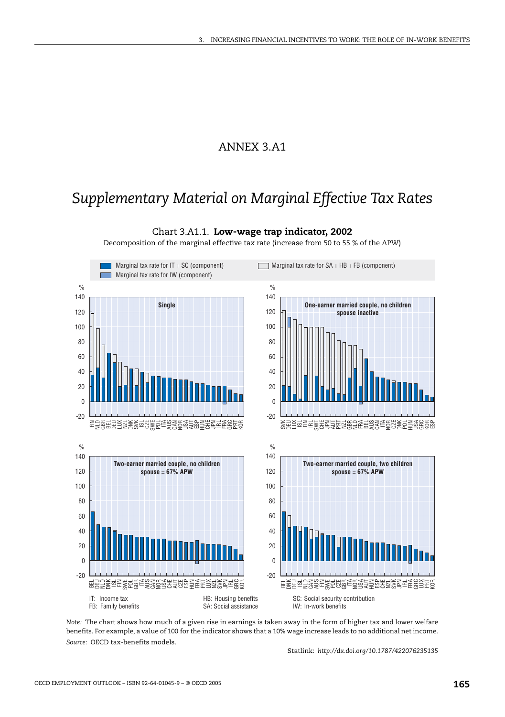## ANNEX 3.A1

## *Supplementary Material on Marginal Effective Tax Rates*



Chart 3.A1.1. **Low-wage trap indicator, 2002** Decomposition of the marginal effective tax rate (increase from 50 to 55 % of the APW)

*Note:* The chart shows how much of a given rise in earnings is taken away in the form of higher tax and lower welfare benefits. For example, a value of 100 for the indicator shows that a 10% wage increase leads to no additional net income. *Source:* OECD tax-benefits models.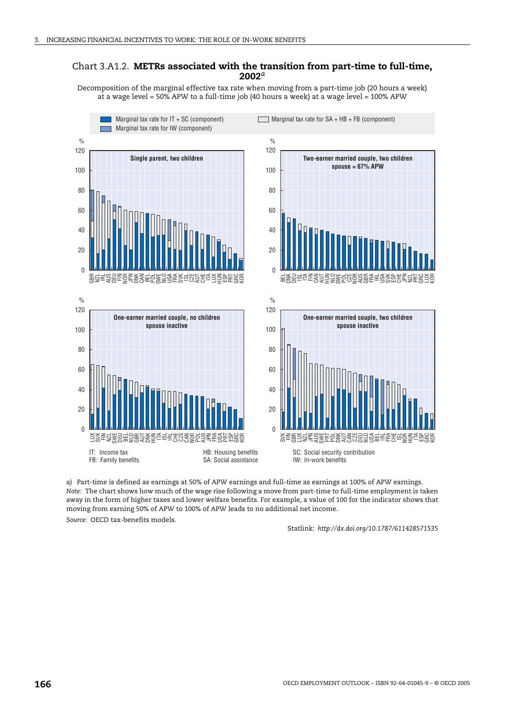## Chart 3.A1.2. **METRs associated with the transition from part-time to full-time, 2002***<sup>a</sup>*

Decomposition of the marginal effective tax rate when moving from a part-time job (20 hours a week) at a wage level = 50% APW to a full-time job (40 hours a week) at a wage level = 100% APW



*a)* Part-time is defined as earnings at 50% of APW earnings and full-time as earnings at 100% of APW earnings. *Note:* The chart shows how much of the wage rise following a move from part-time to full-time employment is taken away in the form of higher taxes and lower welfare benefits. For example, a value of 100 for the indicator shows that moving from earning 50% of APW to 100% of APW leads to no additional net income. *Source:* OECD tax-benefits models.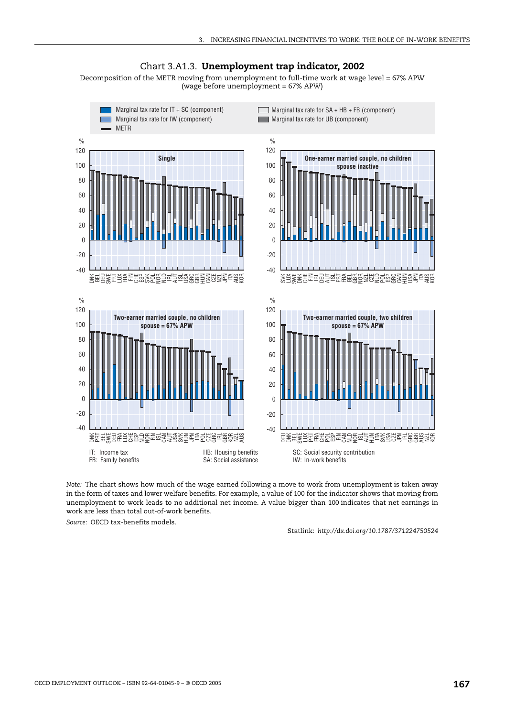

### Chart 3.A1.3. **Unemployment trap indicator, 2002**

Decomposition of the METR moving from unemployment to full-time work at wage level = 67% APW (wage before unemployment = 67% APW)

*Note:* The chart shows how much of the wage earned following a move to work from unemployment is taken away in the form of taxes and lower welfare benefits. For example, a value of 100 for the indicator shows that moving from unemployment to work leads to no additional net income. A value bigger than 100 indicates that net earnings in work are less than total out-of-work benefits.

*Source:* OECD tax-benefits models.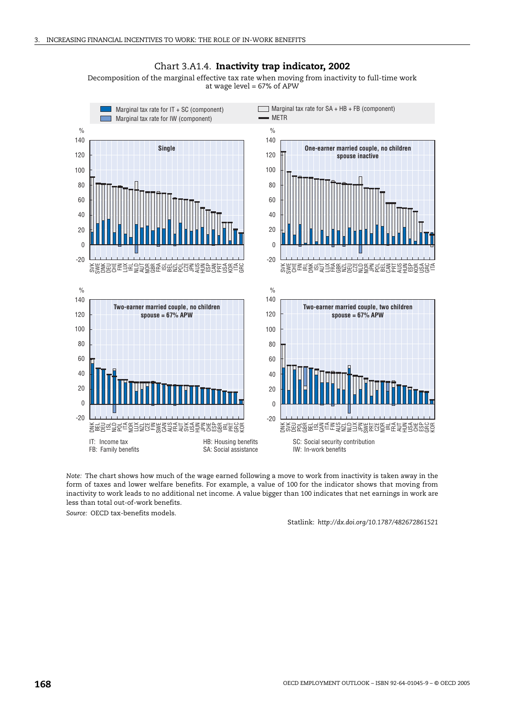

20

Chart 3.A1.4. **Inactivity trap indicator, 2002**

Decomposition of the marginal effective tax rate when moving from inactivity to full-time work



*Note:* The chart shows how much of the wage earned following a move to work from inactivity is taken away in the form of taxes and lower welfare benefits. For example, a value of 100 for the indicator shows that moving from inactivity to work leads to no additional net income. A value bigger than 100 indicates that net earnings in work are less than total out-of-work benefits.

*Source:* OECD tax-benefits models.

20

Statlink: *http://dx.doi.org/10.1787/482672861521*

spouse inactive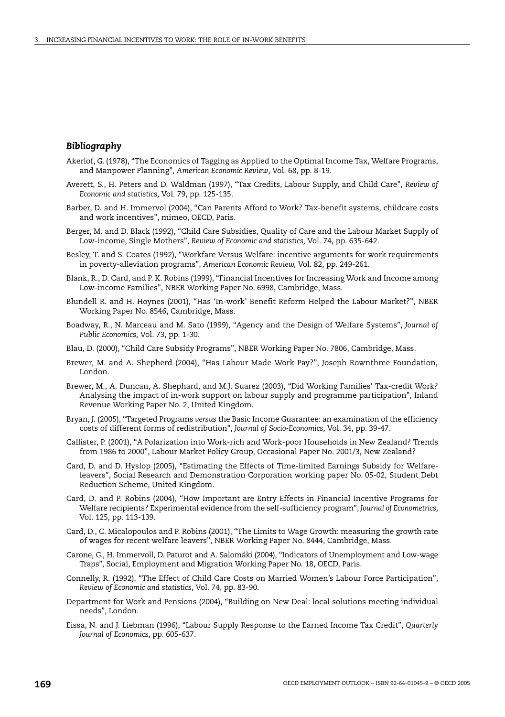## *Bibliography*

- Akerlof, G. (1978), "The Economics of Tagging as Applied to the Optimal Income Tax, Welfare Programs, and Manpower Planning"*, American Economic Review*, Vol. 68, pp. 8-19.
- Averett, S., H. Peters and D. Waldman (1997), "Tax Credits, Labour Supply, and Child Care", *Review of Economic and statistics,* Vol. 79, pp. 125-135.
- Barber, D. and H. Immervol (2004), "Can Parents Afford to Work? Tax-benefit systems, childcare costs and work incentives", mimeo, OECD, Paris.
- Berger, M. and D. Black (1992), "Child Care Subsidies, Quality of Care and the Labour Market Supply of Low-income, Single Mothers", *Review of Economic and statistics,* Vol. 74, pp. 635-642.
- Besley, T. and S. Coates (1992), "Workfare Versus Welfare: incentive arguments for work requirements in poverty-alleviation programs", *American Economic Review,* Vol. 82, pp. 249-261.
- Blank, R., D. Card, and P. K. Robins (1999), "Financial Incentives for Increasing Work and Income among Low-income Families", NBER Working Paper No. 6998, Cambridge, Mass.
- Blundell R. and H. Hoynes (2001), "Has 'In-work' Benefit Reform Helped the Labour Market?", NBER Working Paper No. 8546, Cambridge, Mass.
- Boadway, R., N. Marceau and M. Sato (1999), "Agency and the Design of Welfare Systems", *Journal of Public Economics,* Vol. 73, pp. 1-30.
- Blau, D. (2000), "Child Care Subsidy Programs", NBER Working Paper No. 7806, Cambridge, Mass.
- Brewer, M. and A. Shepherd (2004), "Has Labour Made Work Pay?", Joseph Rownthree Foundation, London.
- Brewer, M., A. Duncan, A. Shephard, and M.J. Suarez (2003), "Did Working Families' Tax-credit Work? Analysing the impact of in-work support on labour supply and programme participation", Inland Revenue Working Paper No. 2, United Kingdom.
- Bryan, J. (2005), "Targeted Programs *versus* the Basic Income Guarantee: an examination of the efficiency costs of different forms of redistribution", *Journal of Socio-Economics,* Vol. 34, pp. 39-47.
- Callister, P. (2001), "A Polarization into Work-rich and Work-poor Households in New Zealand? Trends from 1986 to 2000", Labour Market Policy Group, Occasional Paper No. 2001/3, New Zealand?
- Card, D. and D. Hyslop (2005), "Estimating the Effects of Time-limited Earnings Subsidy for Welfareleavers", Social Research and Demonstration Corporation working paper No. 05-02, Student Debt Reduction Scheme, United Kingdom.
- Card, D. and P. Robins (2004), "How Important are Entry Effects in Financial Incentive Programs for Welfare recipients? Experimental evidence from the self-sufficiency program", *Journal of Econometrics,* Vol. 125, pp. 113-139.
- Card, D., C. Micalopoulos and P. Robins (2001), "The Limits to Wage Growth: measuring the growth rate of wages for recent welfare leavers", NBER Working Paper No. 8444, Cambridge, Mass.
- Carone, G., H. Immervoll, D. Paturot and A. Salomäki (2004), "Indicators of Unemployment and Low-wage Traps", Social, Employment and Migration Working Paper No. 18, OECD, Paris.
- Connelly, R. (1992), "The Effect of Child Care Costs on Married Women's Labour Force Participation", *Review of Economic and statistics,* Vol. 74, pp. 83-90.
- Department for Work and Pensions (2004), "Building on New Deal: local solutions meeting individual needs", London.
- Eissa, N. and J. Liebman (1996), "Labour Supply Response to the Earned Income Tax Credit", *Quarterly Journal of Economics,* pp. 605-637.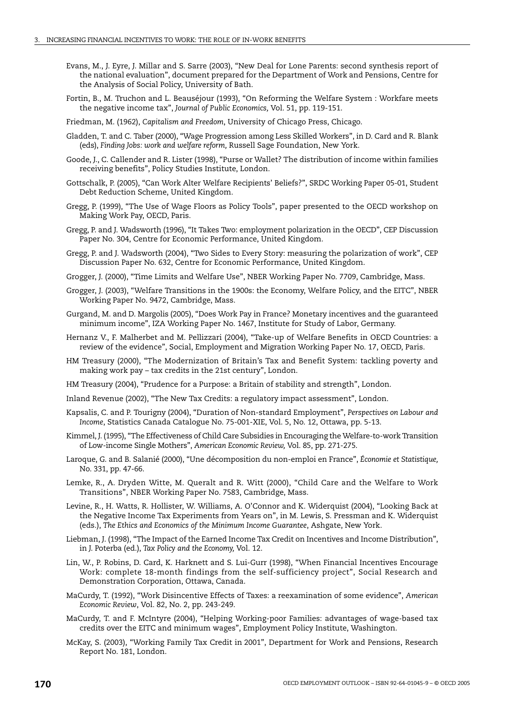- Evans, M., J. Eyre, J. Millar and S. Sarre (2003), "New Deal for Lone Parents: second synthesis report of the national evaluation", document prepared for the Department of Work and Pensions, Centre for the Analysis of Social Policy, University of Bath.
- Fortin, B., M. Truchon and L. Beauséjour (1993), "On Reforming the Welfare System : Workfare meets the negative income tax", *Journal of Public Economics,* Vol. 51, pp. 119-151.

Friedman, M. (1962), *Capitalism and Freedom*, University of Chicago Press, Chicago.

- Gladden, T. and C. Taber (2000), "Wage Progression among Less Skilled Workers", in D. Card and R. Blank (eds), *Finding Jobs: work and welfare reform,* Russell Sage Foundation, New York.
- Goode, J., C. Callender and R. Lister (1998), "Purse or Wallet? The distribution of income within families receiving benefits", Policy Studies Institute, London.
- Gottschalk, P. (2005), "Can Work Alter Welfare Recipients' Beliefs?", SRDC Working Paper 05-01, Student Debt Reduction Scheme, United Kingdom.
- Gregg, P. (1999), "The Use of Wage Floors as Policy Tools", paper presented to the OECD workshop on Making Work Pay, OECD, Paris.
- Gregg, P. and J. Wadsworth (1996), "It Takes Two: employment polarization in the OECD", CEP Discussion Paper No. 304, Centre for Economic Performance, United Kingdom.
- Gregg, P. and J. Wadsworth (2004), "Two Sides to Every Story: measuring the polarization of work", CEP Discussion Paper No. 632, Centre for Economic Performance, United Kingdom.
- Grogger, J. (2000), "Time Limits and Welfare Use", NBER Working Paper No. 7709, Cambridge, Mass.
- Grogger, J. (2003), "Welfare Transitions in the 1900s: the Economy, Welfare Policy, and the EITC", NBER Working Paper No. 9472, Cambridge, Mass.
- Gurgand, M. and D. Margolis (2005), "Does Work Pay in France? Monetary incentives and the guaranteed minimum income", IZA Working Paper No. 1467, Institute for Study of Labor, Germany.
- Hernanz V., F. Malherbet and M. Pellizzari (2004), "Take-up of Welfare Benefits in OECD Countries: a review of the evidence", Social, Employment and Migration Working Paper No. 17, OECD, Paris.
- HM Treasury (2000), "The Modernization of Britain's Tax and Benefit System: tackling poverty and making work pay – tax credits in the 21st century", London.
- HM Treasury (2004), "Prudence for a Purpose: a Britain of stability and strength", London.
- Inland Revenue (2002), "The New Tax Credits: a regulatory impact assessment", London.
- Kapsalis, C. and P. Tourigny (2004), "Duration of Non-standard Employment", *Perspectives on Labour and Income*, Statistics Canada Catalogue No. 75-001-XIE, Vol. 5, No. 12, Ottawa, pp. 5-13.
- Kimmel, J. (1995), "The Effectiveness of Child Care Subsidies in Encouraging the Welfare-to-work Transition of Low-income Single Mothers", *American Economic Review,* Vol. 85, pp. 271-275.
- Laroque, G. and B. Salanié (2000), "Une décomposition du non-emploi en France", *Économie et Statistique,* No. 331, pp. 47-66.
- Lemke, R., A. Dryden Witte, M. Queralt and R. Witt (2000), "Child Care and the Welfare to Work Transitions", NBER Working Paper No. 7583, Cambridge, Mass.
- Levine, R., H. Watts, R. Hollister, W. Williams, A. O'Connor and K. Widerquist (2004), "Looking Back at the Negative Income Tax Experiments from Years on", in M. Lewis, S. Pressman and K. Widerquist (eds.), *The Ethics and Economics of the Minimum Income Guarantee*, Ashgate, New York.
- Liebman, J. (1998), "The Impact of the Earned Income Tax Credit on Incentives and Income Distribution", in J. Poterba (ed.), *Tax Policy and the Economy,* Vol. 12.
- Lin, W., P. Robins, D. Card, K. Harknett and S. Lui-Gurr (1998), "When Financial Incentives Encourage Work: complete 18-month findings from the self-sufficiency project", Social Research and Demonstration Corporation, Ottawa, Canada.
- MaCurdy, T. (1992), "Work Disincentive Effects of Taxes: a reexamination of some evidence", *American Economic Review*, Vol. 82, No. 2, pp. 243-249.
- MaCurdy, T. and F. McIntyre (2004), "Helping Working-poor Families: advantages of wage-based tax credits over the EITC and minimum wages", Employment Policy Institute, Washington.
- McKay, S. (2003), "Working Family Tax Credit in 2001", Department for Work and Pensions, Research Report No. 181, London.